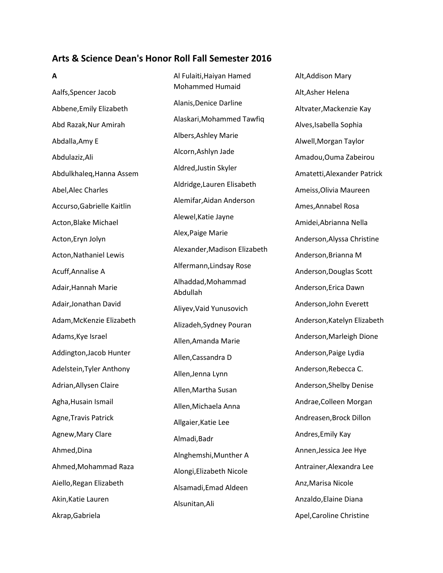## **Arts & Science Dean's Honor Roll Fall Semester 2016**

**A** Aalfs,Spencer Jacob Abbene,Emily Elizabeth Abd Razak,Nur Amirah Abdalla,Amy E Abdulaziz,Ali Abdulkhaleq,Hanna Assem Abel,Alec Charles Accurso,Gabrielle Kaitlin Acton,Blake Michael Acton,Eryn Jolyn Acton,Nathaniel Lewis Acuff,Annalise A Adair,Hannah Marie Adair,Jonathan David Adam,McKenzie Elizabeth Adams,Kye Israel Addington,Jacob Hunter Adelstein,Tyler Anthony Adrian,Allysen Claire Agha,Husain Ismail Agne,Travis Patrick Agnew,Mary Clare Ahmed,Dina Ahmed,Mohammad Raza Aiello,Regan Elizabeth Akin,Katie Lauren Akrap,Gabriela

Al Fulaiti,Haiyan Hamed Mohammed Humaid Alanis,Denice Darline Alaskari,Mohammed Tawfiq Albers,Ashley Marie Alcorn,Ashlyn Jade Aldred,Justin Skyler Aldridge,Lauren Elisabeth Alemifar,Aidan Anderson Alewel,Katie Jayne Alex,Paige Marie Alexander,Madison Elizabeth Alfermann,Lindsay Rose Alhaddad,Mohammad Abdullah Aliyev,Vaid Yunusovich Alizadeh,Sydney Pouran Allen,Amanda Marie Allen,Cassandra D Allen,Jenna Lynn Allen,Martha Susan Allen,Michaela Anna Allgaier,Katie Lee Almadi,Badr Alnghemshi,Munther A Alongi,Elizabeth Nicole Alsamadi,Emad Aldeen Alsunitan,Ali

Alt,Addison Mary Alt,Asher Helena Altvater,Mackenzie Kay Alves,Isabella Sophia Alwell,Morgan Taylor Amadou,Ouma Zabeirou Amatetti,Alexander Patrick Ameiss,Olivia Maureen Ames,Annabel Rosa Amidei,Abrianna Nella Anderson,Alyssa Christine Anderson,Brianna M Anderson,Douglas Scott Anderson,Erica Dawn Anderson,John Everett Anderson,Katelyn Elizabeth Anderson,Marleigh Dione Anderson,Paige Lydia Anderson,Rebecca C. Anderson,Shelby Denise Andrae,Colleen Morgan Andreasen,Brock Dillon Andres,Emily Kay Annen,Jessica Jee Hye Antrainer,Alexandra Lee Anz,Marisa Nicole Anzaldo,Elaine Diana Apel,Caroline Christine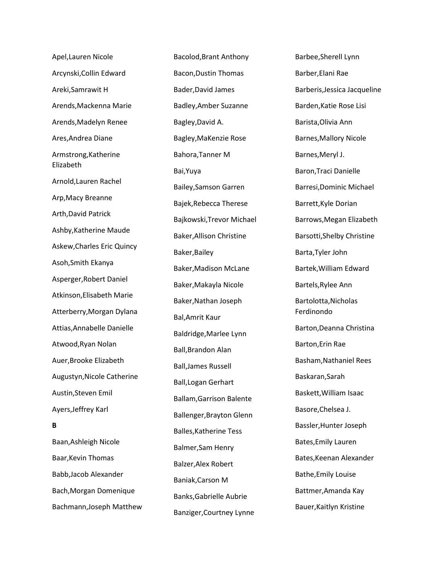Apel,Lauren Nicole Arcynski,Collin Edward Areki,Samrawit H Arends,Mackenna Marie Arends,Madelyn Renee Ares,Andrea Diane Armstrong,Katherine Elizabeth Arnold,Lauren Rachel Arp,Macy Breanne Arth,David Patrick Ashby,Katherine Maude Askew,Charles Eric Quincy Asoh,Smith Ekanya Asperger,Robert Daniel Atkinson,Elisabeth Marie Atterberry,Morgan Dylana Attias,Annabelle Danielle Atwood,Ryan Nolan Auer,Brooke Elizabeth Augustyn,Nicole Catherine Austin,Steven Emil Ayers,Jeffrey Karl **B** Baan,Ashleigh Nicole Baar,Kevin Thomas Babb,Jacob Alexander Bach,Morgan Domenique

Bachmann,Joseph Matthew

Bacolod,Brant Anthony Bacon,Dustin Thomas Bader,David James Badley,Amber Suzanne Bagley,David A. Bagley,MaKenzie Rose Bahora,Tanner M Bai,Yuya Bailey,Samson Garren Bajek,Rebecca Therese Bajkowski,Trevor Michael Baker,Allison Christine Baker,Bailey Baker,Madison McLane Baker,Makayla Nicole Baker,Nathan Joseph Bal,Amrit Kaur Baldridge,Marlee Lynn Ball,Brandon Alan Ball,James Russell Ball,Logan Gerhart Ballam,Garrison Balente Ballenger,Brayton Glenn Balles,Katherine Tess Balmer,Sam Henry Balzer,Alex Robert Baniak,Carson M Banks,Gabrielle Aubrie Banziger,Courtney Lynne

Barbee,Sherell Lynn Barber,Elani Rae Barberis,Jessica Jacqueline Barden,Katie Rose Lisi Barista,Olivia Ann Barnes,Mallory Nicole Barnes,Meryl J. Baron,Traci Danielle Barresi,Dominic Michael Barrett,Kyle Dorian Barrows,Megan Elizabeth Barsotti,Shelby Christine Barta,Tyler John Bartek,William Edward Bartels,Rylee Ann Bartolotta,Nicholas Ferdinondo Barton,Deanna Christina Barton,Erin Rae Basham,Nathaniel Rees Baskaran,Sarah Baskett,William Isaac Basore,Chelsea J. Bassler,Hunter Joseph Bates,Emily Lauren Bates,Keenan Alexander Bathe,Emily Louise Battmer,Amanda Kay Bauer,Kaitlyn Kristine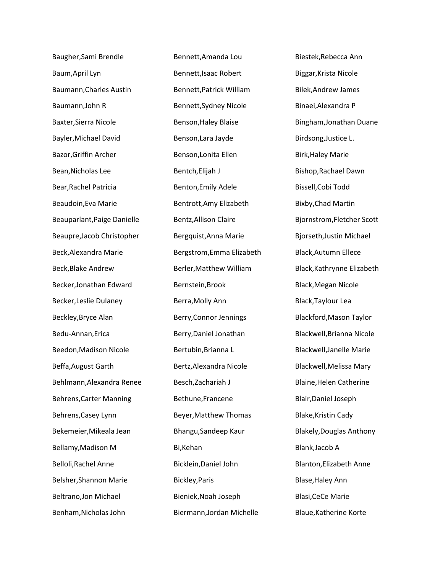Baugher,Sami Brendle Baum,April Lyn Baumann,Charles Austin Baumann,John R Baxter,Sierra Nicole Bayler,Michael David Bazor,Griffin Archer Bean,Nicholas Lee Bear,Rachel Patricia Beaudoin,Eva Marie Beauparlant,Paige Danielle Beaupre,Jacob Christopher Beck,Alexandra Marie Beck,Blake Andrew Becker,Jonathan Edward Becker,Leslie Dulaney Beckley,Bryce Alan Bedu-Annan,Erica Beedon,Madison Nicole Beffa,August Garth Behlmann,Alexandra Renee Behrens,Carter Manning Behrens,Casey Lynn Bekemeier,Mikeala Jean Bellamy,Madison M Belloli,Rachel Anne Belsher,Shannon Marie Beltrano,Jon Michael Benham,Nicholas John

Bennett,Amanda Lou Bennett,Isaac Robert Bennett,Patrick William Bennett,Sydney Nicole Benson,Haley Blaise Benson,Lara Jayde Benson,Lonita Ellen Bentch,Elijah J Benton,Emily Adele Bentrott,Amy Elizabeth Bentz,Allison Claire Bergquist,Anna Marie Bergstrom,Emma Elizabeth Berler,Matthew William Bernstein,Brook Berra,Molly Ann Berry,Connor Jennings Berry,Daniel Jonathan Bertubin,Brianna L Bertz,Alexandra Nicole Besch,Zachariah J Bethune,Francene Beyer,Matthew Thomas Bhangu,Sandeep Kaur Bi,Kehan Bicklein,Daniel John Bickley,Paris Bieniek,Noah Joseph Biermann,Jordan Michelle

Biestek,Rebecca Ann Biggar,Krista Nicole Bilek,Andrew James Binaei,Alexandra P Bingham,Jonathan Duane Birdsong,Justice L. Birk,Haley Marie Bishop,Rachael Dawn Bissell,Cobi Todd Bixby,Chad Martin Bjornstrom,Fletcher Scott Bjorseth,Justin Michael Black,Autumn Ellece Black,Kathrynne Elizabeth Black,Megan Nicole Black,Taylour Lea Blackford,Mason Taylor Blackwell,Brianna Nicole Blackwell,Janelle Marie Blackwell,Melissa Mary Blaine,Helen Catherine Blair,Daniel Joseph Blake,Kristin Cady Blakely,Douglas Anthony Blank,Jacob A Blanton,Elizabeth Anne Blase,Haley Ann Blasi,CeCe Marie Blaue,Katherine Korte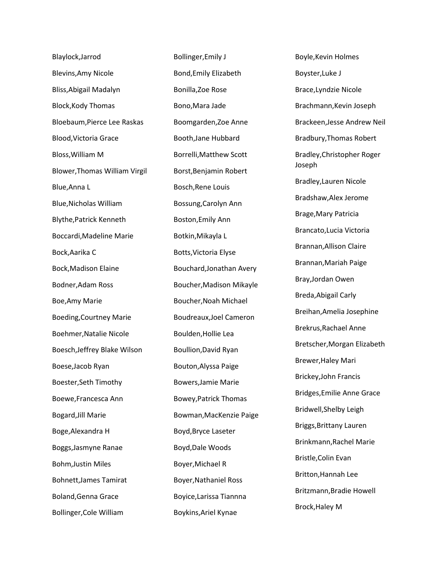Blaylock,Jarrod Blevins,Amy Nicole Bliss,Abigail Madalyn Block,Kody Thomas Bloebaum,Pierce Lee Raskas Blood,Victoria Grace Bloss,William M Blower,Thomas William Virgil Blue,Anna L Blue,Nicholas William Blythe,Patrick Kenneth Boccardi,Madeline Marie Bock,Aarika C Bock,Madison Elaine Bodner,Adam Ross Boe,Amy Marie Boeding,Courtney Marie Boehmer,Natalie Nicole Boesch,Jeffrey Blake Wilson Boese,Jacob Ryan Boester,Seth Timothy Boewe,Francesca Ann Bogard,Jill Marie Boge,Alexandra H Boggs,Jasmyne Ranae Bohm,Justin Miles Bohnett,James Tamirat Boland,Genna Grace Bollinger,Cole William

Bollinger,Emily J Bond,Emily Elizabeth Bonilla,Zoe Rose Bono,Mara Jade Boomgarden,Zoe Anne Booth,Jane Hubbard Borrelli,Matthew Scott Borst,Benjamin Robert Bosch,Rene Louis Bossung,Carolyn Ann Boston,Emily Ann Botkin,Mikayla L Botts,Victoria Elyse Bouchard,Jonathan Avery Boucher,Madison Mikayle Boucher,Noah Michael Boudreaux,Joel Cameron Boulden,Hollie Lea Boullion,David Ryan Bouton,Alyssa Paige Bowers,Jamie Marie Bowey,Patrick Thomas Bowman,MacKenzie Paige Boyd,Bryce Laseter Boyd,Dale Woods Boyer,Michael R Boyer,Nathaniel Ross Boyice,Larissa Tiannna Boykins,Ariel Kynae

Boyle,Kevin Holmes Boyster,Luke J Brace,Lyndzie Nicole Brachmann,Kevin Joseph Brackeen,Jesse Andrew Neil Bradbury,Thomas Robert Bradley,Christopher Roger Joseph Bradley,Lauren Nicole Bradshaw,Alex Jerome Brage,Mary Patricia Brancato,Lucia Victoria Brannan,Allison Claire Brannan,Mariah Paige Bray,Jordan Owen Breda,Abigail Carly Breihan,Amelia Josephine Brekrus,Rachael Anne Bretscher,Morgan Elizabeth Brewer,Haley Mari Brickey,John Francis Bridges,Emilie Anne Grace Bridwell,Shelby Leigh Briggs,Brittany Lauren Brinkmann,Rachel Marie Bristle,Colin Evan Britton,Hannah Lee Britzmann,Bradie Howell Brock,Haley M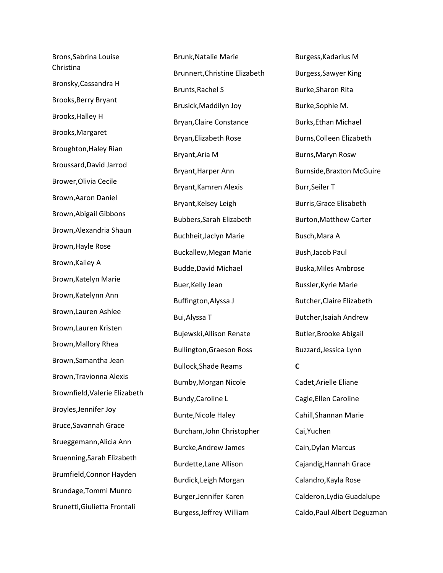Brons,Sabrina Louise Christina Bronsky,Cassandra H Brooks,Berry Bryant Brooks,Halley H Brooks,Margaret Broughton,Haley Rian Broussard,David Jarrod Brower,Olivia Cecile Brown,Aaron Daniel Brown,Abigail Gibbons Brown,Alexandria Shaun Brown,Hayle Rose Brown,Kailey A Brown,Katelyn Marie Brown,Katelynn Ann Brown,Lauren Ashlee Brown,Lauren Kristen Brown,Mallory Rhea Brown,Samantha Jean Brown,Travionna Alexis Brownfield,Valerie Elizabeth Broyles,Jennifer Joy Bruce,Savannah Grace Brueggemann,Alicia Ann Bruenning,Sarah Elizabeth Brumfield,Connor Hayden Brundage,Tommi Munro Brunetti,Giulietta Frontali

Brunk,Natalie Marie Brunnert,Christine Elizabeth Brunts,Rachel S Brusick,Maddilyn Joy Bryan,Claire Constance Bryan,Elizabeth Rose Bryant,Aria M Bryant,Harper Ann Bryant,Kamren Alexis Bryant,Kelsey Leigh Bubbers,Sarah Elizabeth Buchheit,Jaclyn Marie Buckallew,Megan Marie Budde,David Michael Buer,Kelly Jean Buffington,Alyssa J Bui,Alyssa T Bujewski,Allison Renate Bullington,Graeson Ross Bullock,Shade Reams Bumby,Morgan Nicole Bundy,Caroline L Bunte,Nicole Haley Burcham,John Christopher Burcke,Andrew James Burdette,Lane Allison Burdick,Leigh Morgan Burger,Jennifer Karen Burgess,Jeffrey William

Burgess,Kadarius M Burgess,Sawyer King Burke,Sharon Rita Burke,Sophie M. Burks,Ethan Michael Burns,Colleen Elizabeth Burns,Maryn Rosw Burnside,Braxton McGuire Burr,Seiler T Burris,Grace Elisabeth Burton,Matthew Carter Busch,Mara A Bush,Jacob Paul Buska,Miles Ambrose Bussler,Kyrie Marie Butcher,Claire Elizabeth Butcher,Isaiah Andrew Butler,Brooke Abigail Buzzard,Jessica Lynn **C** Cadet,Arielle Eliane Cagle,Ellen Caroline Cahill,Shannan Marie Cai,Yuchen Cain,Dylan Marcus Cajandig,Hannah Grace Calandro,Kayla Rose Calderon,Lydia Guadalupe Caldo,Paul Albert Deguzman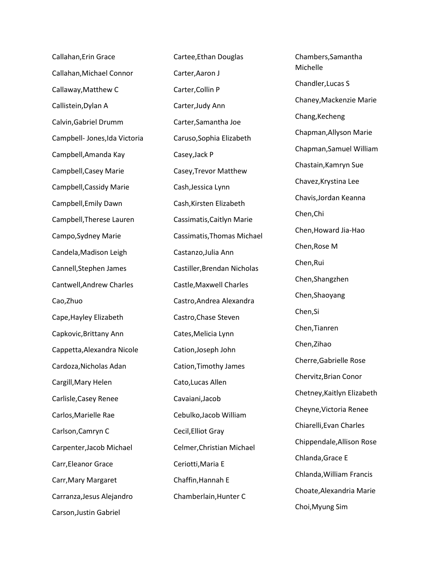Callahan,Erin Grace Callahan,Michael Connor Callaway,Matthew C Callistein,Dylan A Calvin,Gabriel Drumm Campbell- Jones,Ida Victoria Campbell,Amanda Kay Campbell,Casey Marie Campbell,Cassidy Marie Campbell,Emily Dawn Campbell,Therese Lauren Campo,Sydney Marie Candela,Madison Leigh Cannell,Stephen James Cantwell,Andrew Charles Cao,Zhuo Cape,Hayley Elizabeth Capkovic,Brittany Ann Cappetta,Alexandra Nicole Cardoza,Nicholas Adan Cargill,Mary Helen Carlisle,Casey Renee Carlos,Marielle Rae Carlson,Camryn C Carpenter,Jacob Michael Carr,Eleanor Grace Carr,Mary Margaret Carranza,Jesus Alejandro Carson,Justin Gabriel

Cartee,Ethan Douglas Carter,Aaron J Carter,Collin P Carter,Judy Ann Carter,Samantha Joe Caruso,Sophia Elizabeth Casey,Jack P Casey,Trevor Matthew Cash,Jessica Lynn Cash,Kirsten Elizabeth Cassimatis,Caitlyn Marie Cassimatis,Thomas Michael Castanzo,Julia Ann Castiller,Brendan Nicholas Castle,Maxwell Charles Castro,Andrea Alexandra Castro,Chase Steven Cates,Melicia Lynn Cation,Joseph John Cation,Timothy James Cato,Lucas Allen Cavaiani,Jacob Cebulko,Jacob William Cecil,Elliot Gray Celmer,Christian Michael Ceriotti,Maria E Chaffin,Hannah E Chamberlain,Hunter C

Chambers,Samantha Michelle Chandler,Lucas S Chaney,Mackenzie Marie Chang,Kecheng Chapman,Allyson Marie Chapman,Samuel William Chastain,Kamryn Sue Chavez,Krystina Lee Chavis,Jordan Keanna Chen,Chi Chen,Howard Jia-Hao Chen,Rose M Chen,Rui Chen,Shangzhen Chen,Shaoyang Chen,Si Chen,Tianren Chen,Zihao Cherre,Gabrielle Rose Chervitz,Brian Conor Chetney,Kaitlyn Elizabeth Cheyne,Victoria Renee Chiarelli,Evan Charles Chippendale,Allison Rose Chlanda,Grace E Chlanda,William Francis Choate,Alexandria Marie Choi,Myung Sim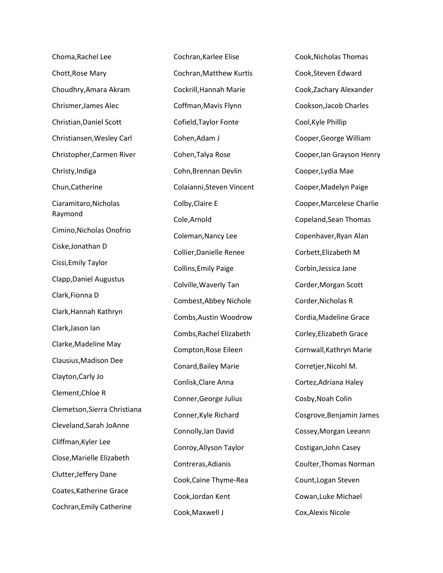Choma,Rachel Lee Chott,Rose Mary Choudhry,Amara Akram Chrismer,James Alec Christian,Daniel Scott Christiansen,Wesley Carl Christopher,Carmen River Christy,Indiga Chun,Catherine Ciaramitaro,Nicholas Raymond Cimino,Nicholas Onofrio Ciske,Jonathan D Cissi,Emily Taylor Clapp,Daniel Augustus Clark,Fionna D Clark,Hannah Kathryn Clark,Jason Ian Clarke,Madeline May Clausius,Madison Dee Clayton,Carly Jo Clement,Chloe R Clemetson,Sierra Christiana Cleveland,Sarah JoAnne Cliffman,Kyler Lee Close,Marielle Elizabeth Clutter,Jeffery Dane Coates,Katherine Grace Cochran,Emily Catherine

Cochran,Karlee Elise Cochran,Matthew Kurtis Cockrill,Hannah Marie Coffman,Mavis Flynn Cofield,Taylor Fonte Cohen,Adam J Cohen,Talya Rose Cohn,Brennan Devlin Colaianni,Steven Vincent Colby,Claire E Cole,Arnold Coleman,Nancy Lee Collier,Danielle Renee Collins,Emily Paige Colville,Waverly Tan Combest,Abbey Nichole Combs,Austin Woodrow Combs,Rachel Elizabeth Compton,Rose Eileen Conard,Bailey Marie Conlisk,Clare Anna Conner,George Julius Conner,Kyle Richard Connolly,Ian David Conroy,Allyson Taylor Contreras,Adianis Cook,Caine Thyme-Rea Cook,Jordan Kent Cook,Maxwell J

Cook,Nicholas Thomas Cook,Steven Edward Cook,Zachary Alexander Cookson,Jacob Charles Cool,Kyle Phillip Cooper,George William Cooper,Ian Grayson Henry Cooper,Lydia Mae Cooper,Madelyn Paige Cooper,Marcelese Charlie Copeland,Sean Thomas Copenhaver,Ryan Alan Corbett,Elizabeth M Corbin,Jessica Jane Corder,Morgan Scott Corder,Nicholas R Cordia,Madeline Grace Corley,Elizabeth Grace Cornwall,Kathryn Marie Corretjer,Nicohl M. Cortez,Adriana Haley Cosby,Noah Colin Cosgrove,Benjamin James Cossey,Morgan Leeann Costigan,John Casey Coulter,Thomas Norman Count,Logan Steven Cowan,Luke Michael Cox,Alexis Nicole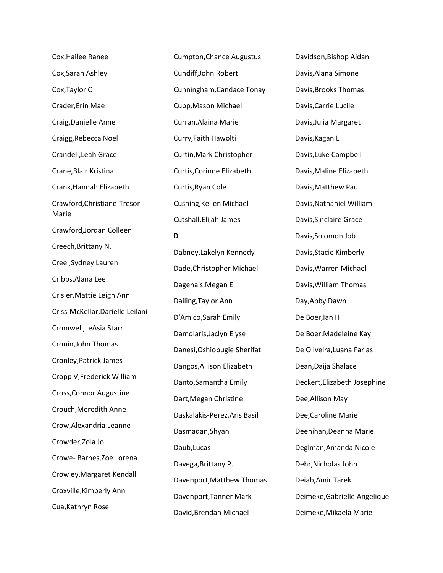Cox,Hailee Ranee Cox,Sarah Ashley Cox,Taylor C Crader,Erin Mae Craig,Danielle Anne Craigg,Rebecca Noel Crandell,Leah Grace Crane,Blair Kristina Crank,Hannah Elizabeth Crawford,Christiane-Tresor Marie Crawford,Jordan Colleen Creech,Brittany N. Creel,Sydney Lauren Cribbs,Alana Lee Crisler,Mattie Leigh Ann Criss-McKellar,Darielle Leilani Cromwell,LeAsia Starr Cronin,John Thomas Cronley,Patrick James Cropp V,Frederick William Cross,Connor Augustine Crouch,Meredith Anne Crow,Alexandria Leanne Crowder,Zola Jo Crowe- Barnes,Zoe Lorena Crowley,Margaret Kendall Croxville,Kimberly Ann Cua,Kathryn Rose

Cumpton,Chance Augustus Cundiff,John Robert Cunningham,Candace Tonay Cupp,Mason Michael Curran,Alaina Marie Curry,Faith Hawolti Curtin,Mark Christopher Curtis,Corinne Elizabeth Curtis,Ryan Cole Cushing,Kellen Michael Cutshall,Elijah James

## **D**

Dabney,Lakelyn Kennedy Dade,Christopher Michael Dagenais,Megan E Dailing,Taylor Ann D'Amico,Sarah Emily Damolaris,Jaclyn Elyse Danesi,Oshiobugie Sherifat Dangos,Allison Elizabeth Danto,Samantha Emily Dart,Megan Christine Daskalakis-Perez,Aris Basil Dasmadan,Shyan Daub,Lucas Davega,Brittany P. Davenport,Matthew Thomas Davenport,Tanner Mark David,Brendan Michael

Davidson,Bishop Aidan Davis,Alana Simone Davis,Brooks Thomas Davis,Carrie Lucile Davis,Julia Margaret Davis,Kagan L Davis,Luke Campbell Davis,Maline Elizabeth Davis,Matthew Paul Davis,Nathaniel William Davis,Sinclaire Grace Davis,Solomon Job Davis,Stacie Kimberly Davis,Warren Michael Davis,William Thomas Day,Abby Dawn De Boer,Ian H De Boer,Madeleine Kay De Oliveira,Luana Farias Dean,Daija Shalace Deckert,Elizabeth Josephine Dee,Allison May Dee,Caroline Marie Deenihan,Deanna Marie Deglman,Amanda Nicole Dehr,Nicholas John Deiab,Amir Tarek Deimeke,Gabrielle Angelique Deimeke,Mikaela Marie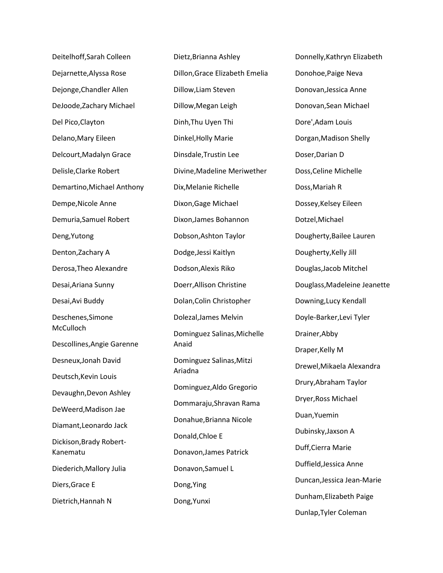Deitelhoff,Sarah Colleen Dejarnette,Alyssa Rose Dejonge,Chandler Allen DeJoode,Zachary Michael Del Pico,Clayton Delano,Mary Eileen Delcourt,Madalyn Grace Delisle,Clarke Robert Demartino,Michael Anthony Dempe,Nicole Anne Demuria,Samuel Robert Deng,Yutong Denton,Zachary A Derosa,Theo Alexandre Desai,Ariana Sunny Desai,Avi Buddy Deschenes,Simone **McCulloch** Descollines,Angie Garenne Desneux,Jonah David Deutsch,Kevin Louis Devaughn,Devon Ashley DeWeerd,Madison Jae Diamant,Leonardo Jack Dickison,Brady Robert-Kanematu Diederich,Mallory Julia Diers,Grace E Dietrich,Hannah N

Dietz,Brianna Ashley Dillon,Grace Elizabeth Emelia Dillow,Liam Steven Dillow,Megan Leigh Dinh,Thu Uyen Thi Dinkel,Holly Marie Dinsdale,Trustin Lee Divine,Madeline Meriwether Dix,Melanie Richelle Dixon,Gage Michael Dixon,James Bohannon Dobson,Ashton Taylor Dodge,Jessi Kaitlyn Dodson,Alexis Riko Doerr,Allison Christine Dolan,Colin Christopher Dolezal,James Melvin Dominguez Salinas,Michelle Anaid Dominguez Salinas,Mitzi Ariadna Dominguez,Aldo Gregorio Dommaraju,Shravan Rama Donahue,Brianna Nicole Donald,Chloe E Donavon,James Patrick Donavon,Samuel L Dong,Ying Dong,Yunxi

Donnelly,Kathryn Elizabeth Donohoe,Paige Neva Donovan,Jessica Anne Donovan,Sean Michael Dore',Adam Louis Dorgan,Madison Shelly Doser,Darian D Doss,Celine Michelle Doss,Mariah R Dossey,Kelsey Eileen Dotzel,Michael Dougherty,Bailee Lauren Dougherty,Kelly Jill Douglas,Jacob Mitchel Douglass,Madeleine Jeanette Downing,Lucy Kendall Doyle-Barker,Levi Tyler Drainer,Abby Draper,Kelly M Drewel,Mikaela Alexandra Drury,Abraham Taylor Dryer,Ross Michael Duan,Yuemin Dubinsky,Jaxson A Duff,Cierra Marie Duffield,Jessica Anne Duncan,Jessica Jean-Marie Dunham,Elizabeth Paige Dunlap,Tyler Coleman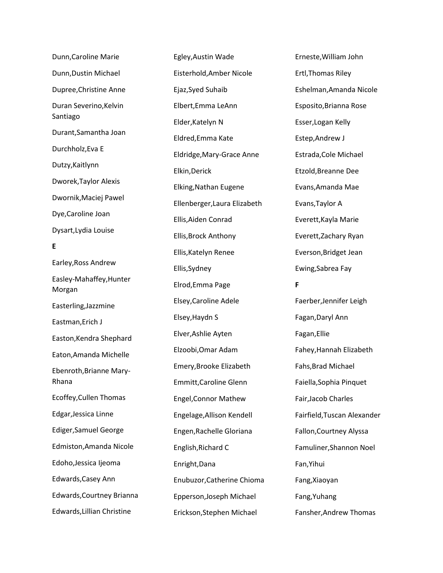| Dunn, Caroline Marie               |
|------------------------------------|
| Dunn, Dustin Michael               |
| Dupree, Christine Anne             |
| Duran Severino, Kelvin<br>Santiago |
| Durant, Samantha Joan              |
| Durchholz, Eva E                   |
| Dutzy, Kaitlynn                    |
| Dworek, Taylor Alexis              |
| Dwornik, Maciej Pawel              |
| Dye, Caroline Joan                 |
| Dysart, Lydia Louise               |
| E                                  |
| Earley, Ross Andrew                |
| Easley-Mahaffey, Hunter<br>Morgan  |
| Easterling, Jazzmine               |
| Eastman, Erich J                   |
| Easton, Kendra Shephard            |
| Eaton, Amanda Michelle             |
| Ebenroth, Brianne Mary-<br>Rhana   |
| Ecoffey, Cullen Thomas             |
| Edgar, Jessica Linne               |
| <b>Ediger, Samuel George</b>       |
| Edmiston, Amanda Nicole            |
| Edoho, Jessica Ijeoma              |
| Edwards, Casey Ann                 |
| Edwards, Courtney Brianna          |
| Edwards, Lillian Christine         |

Egley,Austin Wade Eisterhold,Amber Nicole Ejaz,Syed Suhaib Elbert,Emma LeAnn Elder,Katelyn N Eldred,Emma Kate Eldridge,Mary-Grace Anne Elkin,Derick Elking,Nathan Eugene Ellenberger,Laura Elizabeth Ellis,Aiden Conrad Ellis,Brock Anthony Ellis,Katelyn Renee Ellis,Sydney Elrod,Emma Page Elsey,Caroline Adele Elsey,Haydn S Elver,Ashlie Ayten Elzoobi,Omar Adam Emery,Brooke Elizabeth Emmitt,Caroline Glenn Engel,Connor Mathew Engelage,Allison Kendell Engen,Rachelle Gloriana English,Richard C Enright,Dana Enubuzor,Catherine Chioma Epperson,Joseph Michael Erickson,Stephen Michael

Erneste,William John Ertl,Thomas Riley Eshelman,Amanda Nicole Esposito,Brianna Rose Esser,Logan Kelly Estep,Andrew J Estrada,Cole Michael Etzold,Breanne Dee Evans,Amanda Mae Evans,Taylor A Everett,Kayla Marie Everett,Zachary Ryan Everson,Bridget Jean Ewing,Sabrea Fay **F** Faerber,Jennifer Leigh Fagan,Daryl Ann Fagan,Ellie Fahey,Hannah Elizabeth Fahs,Brad Michael Faiella,Sophia Pinquet Fair,Jacob Charles Fairfield,Tuscan Alexander Fallon,Courtney Alyssa Famuliner,Shannon Noel Fan,Yihui Fang,Xiaoyan Fang,Yuhang Fansher,Andrew Thomas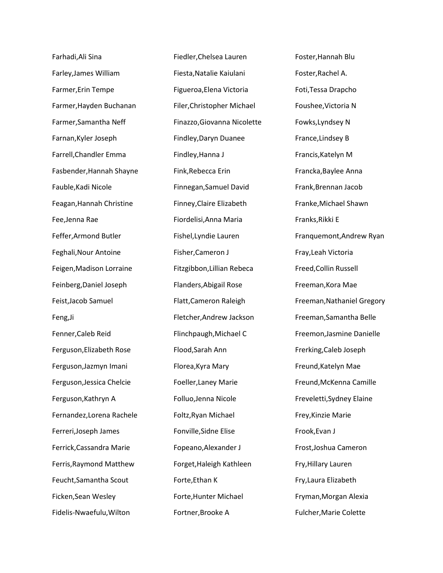Farhadi,Ali Sina Farley,James William Farmer,Erin Tempe Farmer,Hayden Buchanan Farmer,Samantha Neff Farnan,Kyler Joseph Farrell,Chandler Emma Fasbender,Hannah Shayne Fauble,Kadi Nicole Feagan,Hannah Christine Fee,Jenna Rae Feffer,Armond Butler Feghali,Nour Antoine Feigen,Madison Lorraine Feinberg,Daniel Joseph Feist,Jacob Samuel Feng,Ji Fenner,Caleb Reid Ferguson,Elizabeth Rose Ferguson,Jazmyn Imani Ferguson,Jessica Chelcie Ferguson,Kathryn A Fernandez,Lorena Rachele Ferreri,Joseph James Ferrick,Cassandra Marie Ferris,Raymond Matthew Feucht,Samantha Scout Ficken,Sean Wesley Fidelis-Nwaefulu,Wilton

Fiedler,Chelsea Lauren Fiesta,Natalie Kaiulani Figueroa,Elena Victoria Filer,Christopher Michael Finazzo,Giovanna Nicolette Findley,Daryn Duanee Findley,Hanna J Fink,Rebecca Erin Finnegan,Samuel David Finney,Claire Elizabeth Fiordelisi,Anna Maria Fishel,Lyndie Lauren Fisher,Cameron J Fitzgibbon,Lillian Rebeca Flanders,Abigail Rose Flatt,Cameron Raleigh Fletcher,Andrew Jackson Flinchpaugh,Michael C Flood,Sarah Ann Florea,Kyra Mary Foeller,Laney Marie Folluo,Jenna Nicole Foltz,Ryan Michael Fonville,Sidne Elise Fopeano,Alexander J Forget,Haleigh Kathleen Forte,Ethan K Forte,Hunter Michael Fortner,Brooke A

Foster,Hannah Blu Foster,Rachel A. Foti,Tessa Drapcho Foushee,Victoria N Fowks,Lyndsey N France,Lindsey B Francis,Katelyn M Francka,Baylee Anna Frank,Brennan Jacob Franke,Michael Shawn Franks,Rikki E Franquemont,Andrew Ryan Fray,Leah Victoria Freed,Collin Russell Freeman,Kora Mae Freeman,Nathaniel Gregory Freeman,Samantha Belle Freemon,Jasmine Danielle Frerking,Caleb Joseph Freund,Katelyn Mae Freund,McKenna Camille Freveletti,Sydney Elaine Frey,Kinzie Marie Frook,Evan J Frost,Joshua Cameron Fry,Hillary Lauren Fry,Laura Elizabeth Fryman,Morgan Alexia Fulcher,Marie Colette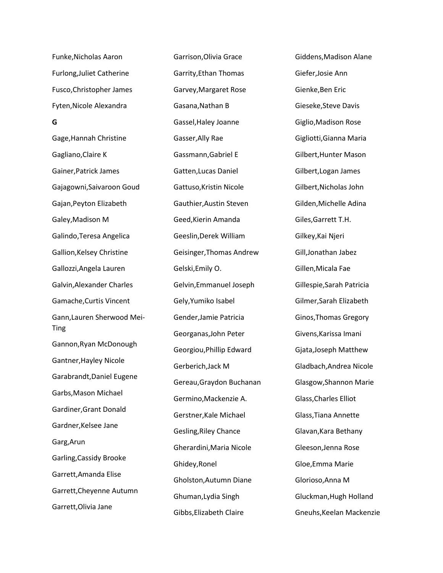Funke,Nicholas Aaron Furlong,Juliet Catherine Fusco,Christopher James Fyten,Nicole Alexandra **G** Gage,Hannah Christine Gagliano,Claire K Gainer,Patrick James Gajagowni,Saivaroon Goud Gajan,Peyton Elizabeth Galey,Madison M Galindo,Teresa Angelica Gallion,Kelsey Christine Gallozzi,Angela Lauren Galvin,Alexander Charles Gamache,Curtis Vincent Gann,Lauren Sherwood Mei-Ting Gannon,Ryan McDonough Gantner,Hayley Nicole Garabrandt,Daniel Eugene Garbs,Mason Michael Gardiner,Grant Donald Gardner,Kelsee Jane Garg,Arun Garling,Cassidy Brooke Garrett,Amanda Elise Garrett,Cheyenne Autumn Garrett,Olivia Jane

Garrison,Olivia Grace Garrity,Ethan Thomas Garvey,Margaret Rose Gasana,Nathan B Gassel,Haley Joanne Gasser,Ally Rae Gassmann,Gabriel E Gatten,Lucas Daniel Gattuso,Kristin Nicole Gauthier,Austin Steven Geed,Kierin Amanda Geeslin,Derek William Geisinger,Thomas Andrew Gelski,Emily O. Gelvin,Emmanuel Joseph Gely,Yumiko Isabel Gender,Jamie Patricia Georganas,John Peter Georgiou,Phillip Edward Gerberich,Jack M Gereau,Graydon Buchanan Germino,Mackenzie A. Gerstner,Kale Michael Gesling,Riley Chance Gherardini,Maria Nicole Ghidey,Ronel Gholston,Autumn Diane Ghuman,Lydia Singh Gibbs,Elizabeth Claire

Giddens,Madison Alane Giefer,Josie Ann Gienke,Ben Eric Gieseke,Steve Davis Giglio,Madison Rose Gigliotti,Gianna Maria Gilbert,Hunter Mason Gilbert,Logan James Gilbert,Nicholas John Gilden,Michelle Adina Giles,Garrett T.H. Gilkey,Kai Njeri Gill,Jonathan Jabez Gillen,Micala Fae Gillespie,Sarah Patricia Gilmer,Sarah Elizabeth Ginos,Thomas Gregory Givens,Karissa Imani Gjata,Joseph Matthew Gladbach,Andrea Nicole Glasgow,Shannon Marie Glass,Charles Elliot Glass,Tiana Annette Glavan,Kara Bethany Gleeson,Jenna Rose Gloe,Emma Marie Glorioso,Anna M Gluckman,Hugh Holland Gneuhs,Keelan Mackenzie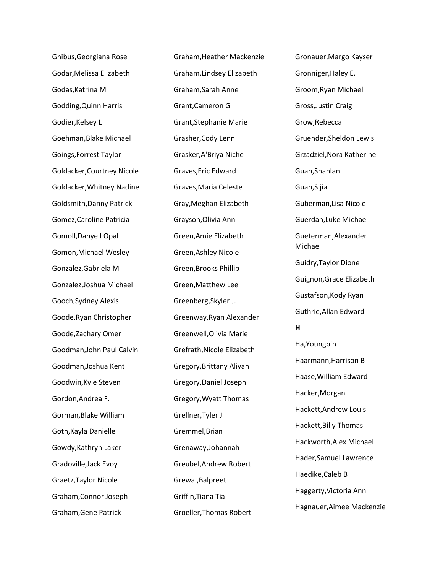Gnibus,Georgiana Rose Godar,Melissa Elizabeth Godas,Katrina M Godding,Quinn Harris Godier,Kelsey L Goehman,Blake Michael Goings,Forrest Taylor Goldacker,Courtney Nicole Goldacker,Whitney Nadine Goldsmith,Danny Patrick Gomez,Caroline Patricia Gomoll,Danyell Opal Gomon,Michael Wesley Gonzalez,Gabriela M Gonzalez,Joshua Michael Gooch,Sydney Alexis Goode,Ryan Christopher Goode,Zachary Omer Goodman,John Paul Calvin Goodman,Joshua Kent Goodwin,Kyle Steven Gordon,Andrea F. Gorman,Blake William Goth,Kayla Danielle Gowdy,Kathryn Laker Gradoville,Jack Evoy Graetz,Taylor Nicole Graham,Connor Joseph Graham,Gene Patrick

Graham,Heather Mackenzie Graham,Lindsey Elizabeth Graham,Sarah Anne Grant,Cameron G Grant,Stephanie Marie Grasher,Cody Lenn Grasker,A'Briya Niche Graves,Eric Edward Graves,Maria Celeste Gray,Meghan Elizabeth Grayson,Olivia Ann Green,Amie Elizabeth Green,Ashley Nicole Green,Brooks Phillip Green,Matthew Lee Greenberg,Skyler J. Greenway,Ryan Alexander Greenwell,Olivia Marie Grefrath,Nicole Elizabeth Gregory,Brittany Aliyah Gregory,Daniel Joseph Gregory,Wyatt Thomas Grellner,Tyler J Gremmel,Brian Grenaway,Johannah Greubel,Andrew Robert Grewal,Balpreet Griffin,Tiana Tia Groeller,Thomas Robert

Gronauer,Margo Kayser Gronniger,Haley E. Groom,Ryan Michael Gross,Justin Craig Grow,Rebecca Gruender,Sheldon Lewis Grzadziel,Nora Katherine Guan,Shanlan Guan,Sijia Guberman,Lisa Nicole Guerdan,Luke Michael Gueterman,Alexander Michael Guidry,Taylor Dione Guignon,Grace Elizabeth Gustafson,Kody Ryan Guthrie,Allan Edward **H** Ha,Youngbin Haarmann,Harrison B Haase,William Edward Hacker,Morgan L Hackett,Andrew Louis Hackett,Billy Thomas Hackworth,Alex Michael Hader,Samuel Lawrence Haedike,Caleb B Haggerty,Victoria Ann Hagnauer,Aimee Mackenzie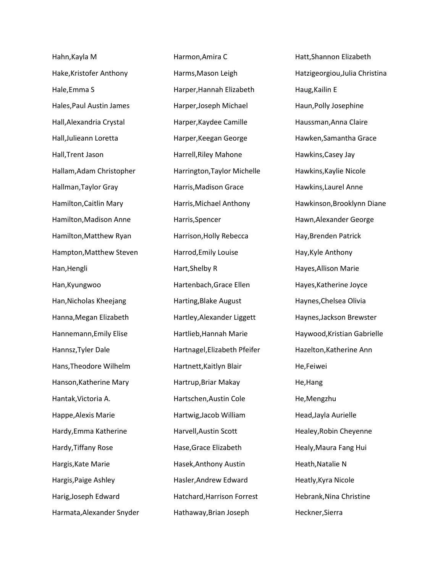Hahn,Kayla M Hake,Kristofer Anthony Hale,Emma S Hales,Paul Austin James Hall,Alexandria Crystal Hall,Julieann Loretta Hall,Trent Jason Hallam,Adam Christopher Hallman,Taylor Gray Hamilton,Caitlin Mary Hamilton,Madison Anne Hamilton,Matthew Ryan Hampton,Matthew Steven Han,Hengli Han,Kyungwoo Han,Nicholas Kheejang Hanna,Megan Elizabeth Hannemann,Emily Elise Hannsz,Tyler Dale Hans,Theodore Wilhelm Hanson,Katherine Mary Hantak,Victoria A. Happe,Alexis Marie Hardy,Emma Katherine Hardy,Tiffany Rose Hargis,Kate Marie Hargis,Paige Ashley Harig,Joseph Edward Harmata,Alexander Snyder Harmon,Amira C Harms,Mason Leigh Harper,Hannah Elizabeth Harper,Joseph Michael Harper,Kaydee Camille Harper,Keegan George Harrell,Riley Mahone Harrington,Taylor Michelle Harris,Madison Grace Harris,Michael Anthony Harris,Spencer Harrison,Holly Rebecca Harrod,Emily Louise Hart,Shelby R Hartenbach,Grace Ellen Harting,Blake August Hartley,Alexander Liggett Hartlieb,Hannah Marie Hartnagel,Elizabeth Pfeifer Hartnett,Kaitlyn Blair Hartrup,Briar Makay Hartschen,Austin Cole Hartwig,Jacob William Harvell,Austin Scott Hase,Grace Elizabeth Hasek,Anthony Austin Hasler,Andrew Edward Hatchard,Harrison Forrest Hathaway,Brian Joseph

Hatt,Shannon Elizabeth Hatzigeorgiou,Julia Christina Haug,Kailin E Haun,Polly Josephine Haussman,Anna Claire Hawken,Samantha Grace Hawkins,Casey Jay Hawkins,Kaylie Nicole Hawkins,Laurel Anne Hawkinson,Brooklynn Diane Hawn,Alexander George Hay,Brenden Patrick Hay,Kyle Anthony Hayes,Allison Marie Hayes,Katherine Joyce Haynes,Chelsea Olivia Haynes,Jackson Brewster Haywood,Kristian Gabrielle Hazelton,Katherine Ann He,Feiwei He,Hang He,Mengzhu Head,Jayla Aurielle Healey,Robin Cheyenne Healy,Maura Fang Hui Heath,Natalie N Heatly,Kyra Nicole Hebrank,Nina Christine Heckner,Sierra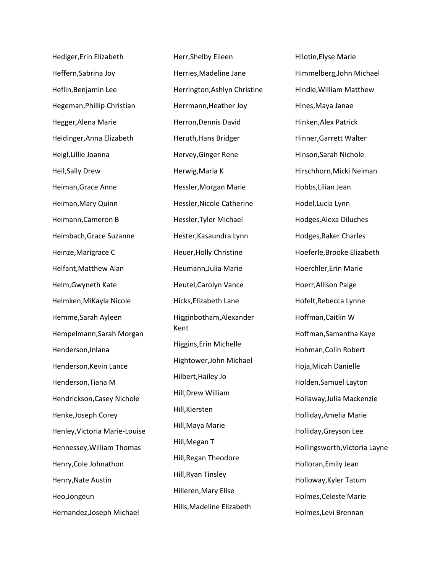Hediger,Erin Elizabeth Heffern,Sabrina Joy Heflin,Benjamin Lee Hegeman,Phillip Christian Hegger,Alena Marie Heidinger,Anna Elizabeth Heigl,Lillie Joanna Heil,Sally Drew Heiman,Grace Anne Heiman,Mary Quinn Heimann,Cameron B Heimbach,Grace Suzanne Heinze,Marigrace C Helfant,Matthew Alan Helm,Gwyneth Kate Helmken,MiKayla Nicole Hemme,Sarah Ayleen Hempelmann,Sarah Morgan Henderson,Inlana Henderson,Kevin Lance Henderson,Tiana M Hendrickson,Casey Nichole Henke,Joseph Corey Henley,Victoria Marie-Louise Hennessey,William Thomas Henry,Cole Johnathon Henry,Nate Austin Heo,Jongeun Hernandez,Joseph Michael

Herr,Shelby Eileen Herries,Madeline Jane Herrington,Ashlyn Christine Herrmann,Heather Joy Herron,Dennis David Heruth,Hans Bridger Hervey,Ginger Rene Herwig,Maria K Hessler,Morgan Marie Hessler,Nicole Catherine Hessler,Tyler Michael Hester,Kasaundra Lynn Heuer,Holly Christine Heumann,Julia Marie Heutel,Carolyn Vance Hicks,Elizabeth Lane Higginbotham,Alexander Kent Higgins,Erin Michelle Hightower,John Michael Hilbert,Hailey Jo Hill,Drew William Hill,Kiersten Hill,Maya Marie Hill,Megan T Hill,Regan Theodore Hill,Ryan Tinsley Hilleren,Mary Elise Hills,Madeline Elizabeth

Hilotin,Elyse Marie Himmelberg,John Michael Hindle,William Matthew Hines,Maya Janae Hinken,Alex Patrick Hinner,Garrett Walter Hinson,Sarah Nichole Hirschhorn,Micki Neiman Hobbs,Lilian Jean Hodel,Lucia Lynn Hodges,Alexa Diluches Hodges,Baker Charles Hoeferle,Brooke Elizabeth Hoerchler,Erin Marie Hoerr,Allison Paige Hofelt,Rebecca Lynne Hoffman,Caitlin W Hoffman,Samantha Kaye Hohman,Colin Robert Hoja,Micah Danielle Holden,Samuel Layton Hollaway,Julia Mackenzie Holliday,Amelia Marie Holliday,Greyson Lee Hollingsworth,Victoria Layne Holloran,Emily Jean Holloway,Kyler Tatum Holmes,Celeste Marie Holmes,Levi Brennan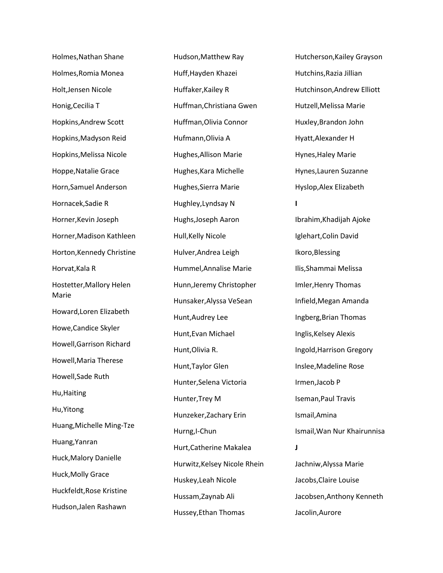Holmes,Nathan Shane Holmes,Romia Monea Holt,Jensen Nicole Honig,Cecilia T Hopkins,Andrew Scott Hopkins,Madyson Reid Hopkins,Melissa Nicole Hoppe,Natalie Grace Horn,Samuel Anderson Hornacek,Sadie R Horner,Kevin Joseph Horner,Madison Kathleen Horton,Kennedy Christine Horvat,Kala R Hostetter,Mallory Helen Marie Howard,Loren Elizabeth Howe,Candice Skyler Howell,Garrison Richard Howell,Maria Therese Howell,Sade Ruth Hu,Haiting Hu,Yitong Huang,Michelle Ming-Tze Huang,Yanran Huck,Malory Danielle Huck,Molly Grace Huckfeldt,Rose Kristine Hudson,Jalen Rashawn

Hudson,Matthew Ray Huff,Hayden Khazei Huffaker,Kailey R Huffman,Christiana Gwen Huffman,Olivia Connor Hufmann,Olivia A Hughes,Allison Marie Hughes,Kara Michelle Hughes,Sierra Marie Hughley,Lyndsay N Hughs,Joseph Aaron Hull,Kelly Nicole Hulver,Andrea Leigh Hummel,Annalise Marie Hunn,Jeremy Christopher Hunsaker,Alyssa VeSean Hunt,Audrey Lee Hunt,Evan Michael Hunt,Olivia R. Hunt,Taylor Glen Hunter,Selena Victoria Hunter,Trey M Hunzeker,Zachary Erin Hurng,I-Chun Hurt,Catherine Makalea Hurwitz,Kelsey Nicole Rhein Huskey,Leah Nicole Hussam,Zaynab Ali Hussey,Ethan Thomas

Hutcherson,Kailey Grayson Hutchins,Razia Jillian Hutchinson,Andrew Elliott Hutzell,Melissa Marie Huxley,Brandon John Hyatt,Alexander H Hynes,Haley Marie Hynes,Lauren Suzanne Hyslop,Alex Elizabeth **I** Ibrahim,Khadijah Ajoke Iglehart,Colin David Ikoro,Blessing Ilis,Shammai Melissa Imler,Henry Thomas Infield,Megan Amanda Ingberg,Brian Thomas Inglis,Kelsey Alexis Ingold,Harrison Gregory Inslee,Madeline Rose Irmen,Jacob P Iseman,Paul Travis Ismail,Amina Ismail,Wan Nur Khairunnisa **J** Jachniw,Alyssa Marie Jacobs,Claire Louise Jacobsen,Anthony Kenneth Jacolin,Aurore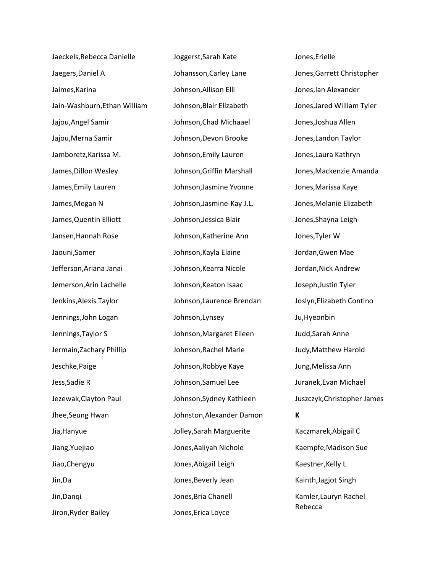Jaeckels,Rebecca Danielle Jaegers,Daniel A Jaimes,Karina Jain-Washburn,Ethan William Jajou,Angel Samir Jajou,Merna Samir Jamboretz,Karissa M. James,Dillon Wesley James,Emily Lauren James,Megan N James,Quentin Elliott Jansen,Hannah Rose Jaouni,Samer Jefferson,Ariana Janai Jemerson,Arin Lachelle Jenkins,Alexis Taylor Jennings,John Logan Jennings,Taylor S Jermain,Zachary Phillip Jeschke,Paige Jess,Sadie R Jezewak,Clayton Paul Jhee,Seung Hwan Jia,Hanyue Jiang,Yuejiao Jiao,Chengyu Jin,Da Jin,Danqi Jiron,Ryder Bailey

Joggerst,Sarah Kate Johansson,Carley Lane Johnson,Allison Elli Johnson,Blair Elizabeth Johnson,Chad Michaael Johnson,Devon Brooke Johnson,Emily Lauren Johnson,Griffin Marshall Johnson,Jasmine Yvonne Johnson,Jasmine-Kay J.L. Johnson,Jessica Blair Johnson,Katherine Ann Johnson,Kayla Elaine Johnson,Kearra Nicole Johnson,Keaton Isaac Johnson,Laurence Brendan Johnson,Lynsey Johnson,Margaret Eileen Johnson,Rachel Marie Johnson,Robbye Kaye Johnson,Samuel Lee Johnson,Sydney Kathleen Johnston,Alexander Damon Jolley,Sarah Marguerite Jones,Aaliyah Nichole Jones,Abigail Leigh Jones,Beverly Jean Jones,Bria Chanell Jones,Erica Loyce

Jones,Erielle Jones,Garrett Christopher Jones,Ian Alexander Jones,Jared William Tyler Jones,Joshua Allen Jones,Landon Taylor Jones,Laura Kathryn Jones,Mackenzie Amanda Jones,Marissa Kaye Jones,Melanie Elizabeth Jones,Shayna Leigh Jones,Tyler W Jordan,Gwen Mae Jordan,Nick Andrew Joseph,Justin Tyler Joslyn,Elizabeth Contino Ju,Hyeonbin Judd,Sarah Anne Judy,Matthew Harold Jung,Melissa Ann Juranek,Evan Michael Juszczyk,Christopher James **K** Kaczmarek,Abigail C Kaempfe,Madison Sue Kaestner,Kelly L Kainth,Jagjot Singh Kamler,Lauryn Rachel Rebecca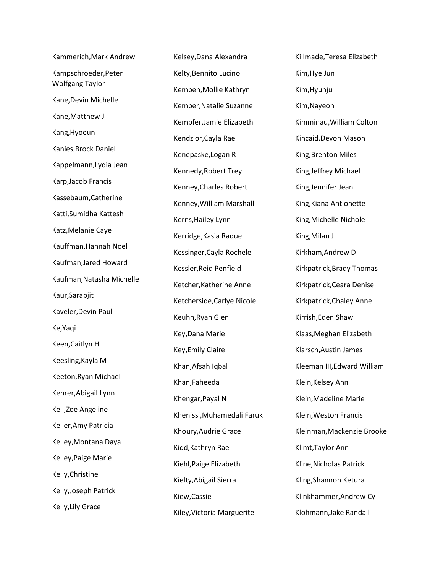Kammerich,Mark Andrew Kampschroeder,Peter Wolfgang Taylor Kane,Devin Michelle Kane,Matthew J Kang,Hyoeun Kanies,Brock Daniel Kappelmann,Lydia Jean Karp,Jacob Francis Kassebaum,Catherine Katti,Sumidha Kattesh Katz,Melanie Caye Kauffman,Hannah Noel Kaufman,Jared Howard Kaufman,Natasha Michelle Kaur,Sarabjit Kaveler,Devin Paul Ke,Yaqi Keen,Caitlyn H Keesling,Kayla M Keeton,Ryan Michael Kehrer,Abigail Lynn Kell,Zoe Angeline Keller,Amy Patricia Kelley,Montana Daya Kelley,Paige Marie Kelly,Christine Kelly,Joseph Patrick Kelly,Lily Grace

Kelsey,Dana Alexandra Kelty,Bennito Lucino Kempen,Mollie Kathryn Kemper,Natalie Suzanne Kempfer,Jamie Elizabeth Kendzior,Cayla Rae Kenepaske,Logan R Kennedy,Robert Trey Kenney,Charles Robert Kenney,William Marshall Kerns,Hailey Lynn Kerridge,Kasia Raquel Kessinger,Cayla Rochele Kessler,Reid Penfield Ketcher,Katherine Anne Ketcherside,Carlye Nicole Keuhn,Ryan Glen Key,Dana Marie Key,Emily Claire Khan,Afsah Iqbal Khan,Faheeda Khengar,Payal N Khenissi,Muhamedali Faruk Khoury,Audrie Grace Kidd,Kathryn Rae Kiehl,Paige Elizabeth Kielty,Abigail Sierra Kiew,Cassie Kiley,Victoria Marguerite

Killmade,Teresa Elizabeth Kim,Hye Jun Kim,Hyunju Kim,Nayeon Kimminau,William Colton Kincaid,Devon Mason King,Brenton Miles King,Jeffrey Michael King,Jennifer Jean King,Kiana Antionette King,Michelle Nichole King,Milan J Kirkham,Andrew D Kirkpatrick,Brady Thomas Kirkpatrick,Ceara Denise Kirkpatrick,Chaley Anne Kirrish,Eden Shaw Klaas,Meghan Elizabeth Klarsch,Austin James Kleeman III,Edward William Klein,Kelsey Ann Klein,Madeline Marie Klein,Weston Francis Kleinman,Mackenzie Brooke Klimt,Taylor Ann Kline,Nicholas Patrick Kling,Shannon Ketura Klinkhammer,Andrew Cy Klohmann,Jake Randall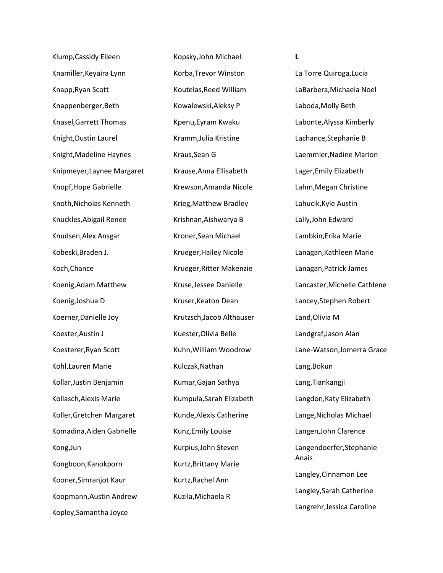Klump,Cassidy Eileen Knamiller,Keyaira Lynn Knapp,Ryan Scott Knappenberger,Beth Knasel,Garrett Thomas Knight,Dustin Laurel Knight,Madeline Haynes Knipmeyer,Laynee Margaret Knopf,Hope Gabrielle Knoth,Nicholas Kenneth Knuckles,Abigail Renee Knudsen,Alex Ansgar Kobeski,Braden J. Koch,Chance Koenig,Adam Matthew Koenig,Joshua D Koerner,Danielle Joy Koester,Austin J Koesterer,Ryan Scott Kohl,Lauren Marie Kollar,Justin Benjamin Kollasch,Alexis Marie Koller,Gretchen Margaret Komadina,Aiden Gabrielle Kong,Jun Kongboon,Kanokporn Kooner,Simranjot Kaur Koopmann,Austin Andrew Kopley,Samantha Joyce

Kopsky,John Michael Korba,Trevor Winston Koutelas,Reed William Kowalewski,Aleksy P Kpenu,Eyram Kwaku Kramm,Julia Kristine Kraus,Sean G Krause,Anna Ellisabeth Krewson,Amanda Nicole Krieg,Matthew Bradley Krishnan,Aishwarya B Kroner,Sean Michael Krueger,Hailey Nicole Krueger,Ritter Makenzie Kruse,Jessee Danielle Kruser,Keaton Dean Krutzsch,Jacob Althauser Kuester,Olivia Belle Kuhn,William Woodrow Kulczak,Nathan Kumar,Gajan Sathya Kumpula,Sarah Elizabeth Kunde,Alexis Catherine Kunz,Emily Louise Kurpius,John Steven Kurtz,Brittany Marie Kurtz,Rachel Ann Kuzila,Michaela R

**L**

La Torre Quiroga,Lucia LaBarbera,Michaela Noel Laboda,Molly Beth Labonte,Alyssa Kimberly Lachance,Stephanie B Laemmler,Nadine Marion Lager,Emily Elizabeth Lahm,Megan Christine Lahucik,Kyle Austin Lally,John Edward Lambkin,Erika Marie Lanagan,Kathleen Marie Lanagan,Patrick James Lancaster,Michelle Cathlene Lancey,Stephen Robert Land,Olivia M Landgraf,Jason Alan Lane-Watson,Jomerra Grace Lang,Bokun Lang,Tiankangji Langdon,Katy Elizabeth Lange,Nicholas Michael Langen,John Clarence Langendoerfer,Stephanie Anais Langley,Cinnamon Lee Langley,Sarah Catherine Langrehr,Jessica Caroline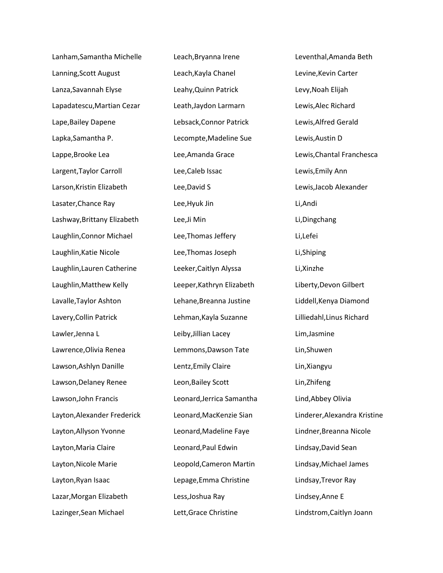Lanham,Samantha Michelle Lanning,Scott August Lanza,Savannah Elyse Lapadatescu,Martian Cezar Lape,Bailey Dapene Lapka,Samantha P. Lappe,Brooke Lea Largent,Taylor Carroll Larson,Kristin Elizabeth Lasater,Chance Ray Lashway,Brittany Elizabeth Laughlin,Connor Michael Laughlin,Katie Nicole Laughlin,Lauren Catherine Laughlin,Matthew Kelly Lavalle,Taylor Ashton Lavery,Collin Patrick Lawler,Jenna L Lawrence,Olivia Renea Lawson,Ashlyn Danille Lawson,Delaney Renee Lawson,John Francis Layton,Alexander Frederick Layton,Allyson Yvonne Layton,Maria Claire Layton,Nicole Marie Layton,Ryan Isaac Lazar,Morgan Elizabeth Lazinger,Sean Michael

Leach,Bryanna Irene Leach,Kayla Chanel Leahy,Quinn Patrick Leath,Jaydon Larmarn Lebsack,Connor Patrick Lecompte,Madeline Sue Lee,Amanda Grace Lee,Caleb Issac Lee,David S Lee,Hyuk Jin Lee,Ji Min Lee,Thomas Jeffery Lee,Thomas Joseph Leeker,Caitlyn Alyssa Leeper,Kathryn Elizabeth Lehane,Breanna Justine Lehman,Kayla Suzanne Leiby,Jillian Lacey Lemmons,Dawson Tate Lentz,Emily Claire Leon,Bailey Scott Leonard,Jerrica Samantha Leonard,MacKenzie Sian Leonard,Madeline Faye Leonard,Paul Edwin Leopold,Cameron Martin Lepage,Emma Christine Less,Joshua Ray Lett,Grace Christine

Leventhal,Amanda Beth Levine,Kevin Carter Levy,Noah Elijah Lewis,Alec Richard Lewis,Alfred Gerald Lewis,Austin D Lewis,Chantal Franchesca Lewis,Emily Ann Lewis,Jacob Alexander Li,Andi Li,Dingchang Li,Lefei Li,Shiping Li,Xinzhe Liberty,Devon Gilbert Liddell,Kenya Diamond Lilliedahl,Linus Richard Lim,Jasmine Lin,Shuwen Lin,Xiangyu Lin,Zhifeng Lind,Abbey Olivia Linderer,Alexandra Kristine Lindner,Breanna Nicole Lindsay,David Sean Lindsay,Michael James Lindsay,Trevor Ray Lindsey,Anne E Lindstrom,Caitlyn Joann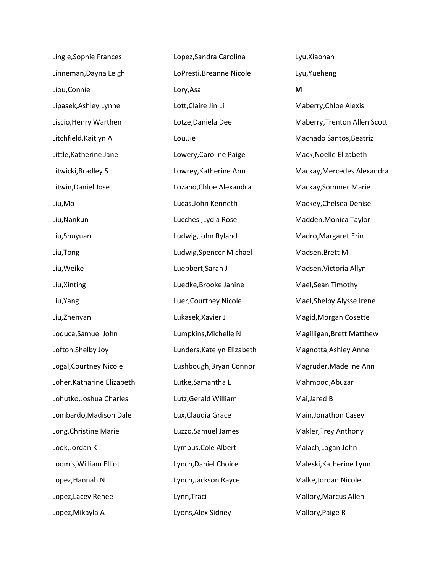| Lingle, Sophie Frances     |
|----------------------------|
| Linneman, Dayna Leigh      |
| Liou, Connie               |
| Lipasek, Ashley Lynne      |
| Liscio, Henry Warthen      |
| Litchfield, Kaitlyn A      |
| Little, Katherine Jane     |
| Litwicki, Bradley S        |
| Litwin, Daniel Jose        |
| Liu,Mo                     |
| Liu, Nankun                |
| Liu, Shuyuan               |
| Liu, Tong                  |
| Liu, Weike                 |
| Liu, Xinting               |
| Liu, Yang                  |
| Liu, Zhenyan               |
| Loduca, Samuel John        |
| Lofton, Shelby Joy         |
| Logal, Courtney Nicole     |
| Loher, Katharine Elizabeth |
| Lohutko, Joshua Charles    |
| Lombardo, Madison Dale     |
| Long, Christine Marie      |
| Look, Jordan K             |
| Loomis, William Elliot     |
| Lopez, Hannah N            |
| Lopez, Lacey Renee         |
| Lopez, Mikayla A           |

Lopez,Sandra Carolina LoPresti,Breanne Nicole Lory,Asa Lott,Claire Jin Li Lotze,Daniela Dee Lou,Jie Lowery,Caroline Paige Lowrey,Katherine Ann Lozano,Chloe Alexandra Lucas,John Kenneth Lucchesi,Lydia Rose Ludwig,John Ryland Ludwig,Spencer Michael Luebbert,Sarah J Luedke,Brooke Janine Luer,Courtney Nicole Lukasek,Xavier J Lumpkins,Michelle N Lunders,Katelyn Elizabeth Lushbough,Bryan Connor Lutke,Samantha L Lutz,Gerald William Lux,Claudia Grace Luzzo,Samuel James Lympus,Cole Albert Lynch,Daniel Choice Lynch,Jackson Rayce Lynn,Traci Lyons,Alex Sidney

Lyu,Xiaohan Lyu,Yueheng **M** Maberry,Chloe Alexis Maberry,Trenton Allen Scott Machado Santos,Beatriz Mack,Noelle Elizabeth Mackay,Mercedes Alexandra Mackay,Sommer Marie Mackey,Chelsea Denise Madden,Monica Taylor Madro,Margaret Erin Madsen,Brett M Madsen,Victoria Allyn Mael,Sean Timothy Mael,Shelby Alysse Irene Magid,Morgan Cosette Magilligan,Brett Matthew Magnotta,Ashley Anne Magruder,Madeline Ann Mahmood,Abuzar Mai,Jared B Main,Jonathon Casey Makler,Trey Anthony Malach,Logan John Maleski,Katherine Lynn Malke,Jordan Nicole Mallory,Marcus Allen Mallory,Paige R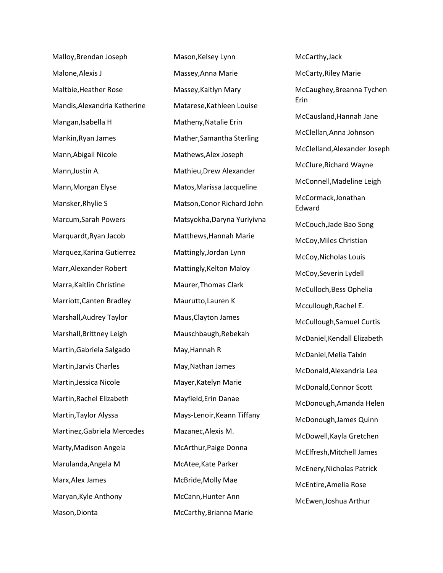Malloy,Brendan Joseph Malone,Alexis J Maltbie,Heather Rose Mandis,Alexandria Katherine Mangan,Isabella H Mankin,Ryan James Mann,Abigail Nicole Mann,Justin A. Mann,Morgan Elyse Mansker,Rhylie S Marcum,Sarah Powers Marquardt,Ryan Jacob Marquez,Karina Gutierrez Marr,Alexander Robert Marra,Kaitlin Christine Marriott,Canten Bradley Marshall,Audrey Taylor Marshall,Brittney Leigh Martin,Gabriela Salgado Martin,Jarvis Charles Martin,Jessica Nicole Martin,Rachel Elizabeth Martin,Taylor Alyssa Martinez,Gabriela Mercedes Marty,Madison Angela Marulanda,Angela M Marx,Alex James Maryan,Kyle Anthony Mason,Dionta

Mason,Kelsey Lynn Massey,Anna Marie Massey,Kaitlyn Mary Matarese,Kathleen Louise Matheny,Natalie Erin Mather,Samantha Sterling Mathews,Alex Joseph Mathieu,Drew Alexander Matos,Marissa Jacqueline Matson,Conor Richard John Matsyokha,Daryna Yuriyivna Matthews,Hannah Marie Mattingly,Jordan Lynn Mattingly,Kelton Maloy Maurer,Thomas Clark Maurutto,Lauren K Maus,Clayton James Mauschbaugh,Rebekah May,Hannah R May,Nathan James Mayer,Katelyn Marie Mayfield,Erin Danae Mays-Lenoir,Keann Tiffany Mazanec,Alexis M. McArthur,Paige Donna McAtee,Kate Parker McBride,Molly Mae McCann,Hunter Ann McCarthy,Brianna Marie

McCarthy,Jack McCarty,Riley Marie McCaughey,Breanna Tychen Erin McCausland,Hannah Jane McClellan,Anna Johnson McClelland,Alexander Joseph McClure,Richard Wayne McConnell,Madeline Leigh McCormack,Jonathan Edward McCouch,Jade Bao Song McCoy,Miles Christian McCoy,Nicholas Louis McCoy,Severin Lydell McCulloch,Bess Ophelia Mccullough,Rachel E. McCullough,Samuel Curtis McDaniel,Kendall Elizabeth McDaniel,Melia Taixin McDonald,Alexandria Lea McDonald,Connor Scott McDonough,Amanda Helen McDonough,James Quinn McDowell,Kayla Gretchen McElfresh,Mitchell James McEnery,Nicholas Patrick McEntire,Amelia Rose McEwen,Joshua Arthur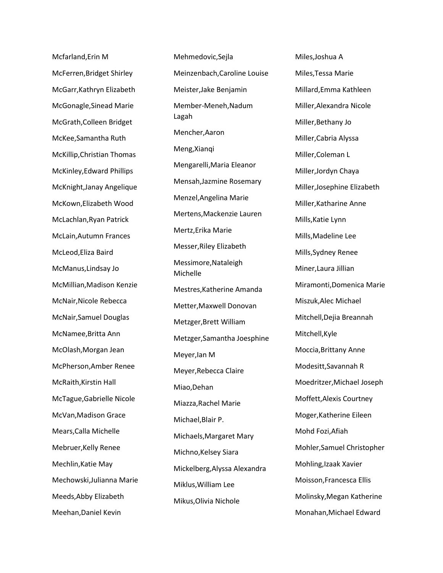Mcfarland,Erin M McFerren,Bridget Shirley McGarr,Kathryn Elizabeth McGonagle,Sinead Marie McGrath,Colleen Bridget McKee,Samantha Ruth McKillip,Christian Thomas McKinley,Edward Phillips McKnight,Janay Angelique McKown,Elizabeth Wood McLachlan,Ryan Patrick McLain,Autumn Frances McLeod,Eliza Baird McManus,Lindsay Jo McMillian,Madison Kenzie McNair,Nicole Rebecca McNair,Samuel Douglas McNamee,Britta Ann McOlash,Morgan Jean McPherson,Amber Renee McRaith,Kirstin Hall McTague,Gabrielle Nicole McVan,Madison Grace Mears,Calla Michelle Mebruer,Kelly Renee Mechlin,Katie May Mechowski,Julianna Marie Meeds,Abby Elizabeth Meehan,Daniel Kevin

Mehmedovic,Sejla Meinzenbach,Caroline Louise Meister,Jake Benjamin Member-Meneh,Nadum Lagah Mencher,Aaron Meng,Xianqi Mengarelli,Maria Eleanor Mensah,Jazmine Rosemary Menzel,Angelina Marie Mertens,Mackenzie Lauren Mertz,Erika Marie Messer,Riley Elizabeth Messimore,Nataleigh Michelle Mestres,Katherine Amanda Metter,Maxwell Donovan Metzger,Brett William Metzger,Samantha Joesphine Meyer,Ian M Meyer,Rebecca Claire Miao,Dehan Miazza,Rachel Marie Michael,Blair P. Michaels,Margaret Mary Michno,Kelsey Siara Mickelberg,Alyssa Alexandra Miklus,William Lee Mikus,Olivia Nichole

Miles,Joshua A Miles,Tessa Marie Millard,Emma Kathleen Miller,Alexandra Nicole Miller,Bethany Jo Miller,Cabria Alyssa Miller,Coleman L Miller,Jordyn Chaya Miller,Josephine Elizabeth Miller,Katharine Anne Mills,Katie Lynn Mills,Madeline Lee Mills,Sydney Renee Miner,Laura Jillian Miramonti,Domenica Marie Miszuk,Alec Michael Mitchell,Dejia Breannah Mitchell,Kyle Moccia,Brittany Anne Modesitt,Savannah R Moedritzer,Michael Joseph Moffett,Alexis Courtney Moger,Katherine Eileen Mohd Fozi,Afiah Mohler,Samuel Christopher Mohling,Izaak Xavier Moisson,Francesca Ellis Molinsky,Megan Katherine Monahan,Michael Edward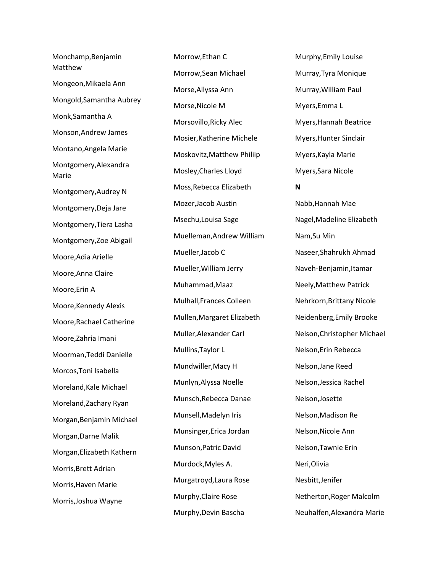Monchamp,Benjamin Matthew Mongeon,Mikaela Ann Mongold,Samantha Aubrey Monk,Samantha A Monson,Andrew James Montano,Angela Marie Montgomery,Alexandra Marie Montgomery,Audrey N Montgomery,Deja Jare Montgomery,Tiera Lasha Montgomery,Zoe Abigail Moore,Adia Arielle Moore,Anna Claire Moore,Erin A Moore,Kennedy Alexis Moore,Rachael Catherine Moore,Zahria Imani Moorman,Teddi Danielle Morcos,Toni Isabella Moreland,Kale Michael Moreland,Zachary Ryan Morgan,Benjamin Michael Morgan,Darne Malik Morgan,Elizabeth Kathern Morris,Brett Adrian Morris,Haven Marie Morris,Joshua Wayne

Morrow,Ethan C Morrow,Sean Michael Morse,Allyssa Ann Morse,Nicole M Morsovillo,Ricky Alec Mosier,Katherine Michele Moskovitz,Matthew Philiip Mosley,Charles Lloyd Moss,Rebecca Elizabeth Mozer,Jacob Austin Msechu,Louisa Sage Muelleman,Andrew William Mueller,Jacob C Mueller,William Jerry Muhammad,Maaz Mulhall,Frances Colleen Mullen,Margaret Elizabeth Muller,Alexander Carl Mullins,Taylor L Mundwiller,Macy H Munlyn,Alyssa Noelle Munsch,Rebecca Danae Munsell,Madelyn Iris Munsinger,Erica Jordan Munson,Patric David Murdock,Myles A. Murgatroyd,Laura Rose Murphy,Claire Rose Murphy,Devin Bascha

Murphy,Emily Louise Murray,Tyra Monique Murray,William Paul Myers,Emma L Myers,Hannah Beatrice Myers,Hunter Sinclair Myers,Kayla Marie Myers,Sara Nicole **N** Nabb,Hannah Mae Nagel,Madeline Elizabeth Nam,Su Min Naseer,Shahrukh Ahmad Naveh-Benjamin,Itamar Neely,Matthew Patrick Nehrkorn,Brittany Nicole Neidenberg,Emily Brooke Nelson,Christopher Michael Nelson,Erin Rebecca Nelson,Jane Reed Nelson,Jessica Rachel Nelson,Josette Nelson,Madison Re Nelson,Nicole Ann Nelson,Tawnie Erin Neri,Olivia Nesbitt,Jenifer Netherton,Roger Malcolm Neuhalfen,Alexandra Marie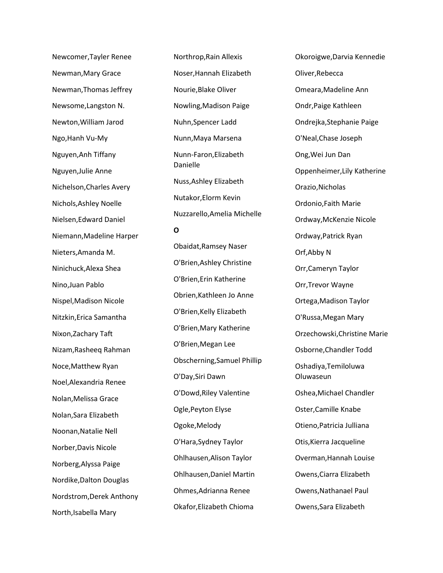Newcomer,Tayler Renee Newman,Mary Grace Newman,Thomas Jeffrey Newsome,Langston N. Newton,William Jarod Ngo,Hanh Vu-My Nguyen,Anh Tiffany Nguyen,Julie Anne Nichelson,Charles Avery Nichols,Ashley Noelle Nielsen,Edward Daniel Niemann,Madeline Harper Nieters,Amanda M. Ninichuck,Alexa Shea Nino,Juan Pablo Nispel,Madison Nicole Nitzkin,Erica Samantha Nixon,Zachary Taft Nizam,Rasheeq Rahman Noce,Matthew Ryan Noel,Alexandria Renee Nolan,Melissa Grace Nolan,Sara Elizabeth Noonan,Natalie Nell Norber,Davis Nicole Norberg,Alyssa Paige Nordike,Dalton Douglas Nordstrom,Derek Anthony North,Isabella Mary

Northrop,Rain Allexis Noser,Hannah Elizabeth Nourie,Blake Oliver Nowling,Madison Paige Nuhn,Spencer Ladd Nunn,Maya Marsena Nunn-Faron,Elizabeth Danielle Nuss,Ashley Elizabeth Nutakor,Elorm Kevin Nuzzarello,Amelia Michelle

## **O**

Obaidat,Ramsey Naser O'Brien,Ashley Christine O'Brien,Erin Katherine Obrien,Kathleen Jo Anne O'Brien,Kelly Elizabeth O'Brien,Mary Katherine O'Brien,Megan Lee Obscherning,Samuel Phillip O'Day,Siri Dawn O'Dowd,Riley Valentine Ogle,Peyton Elyse Ogoke,Melody O'Hara,Sydney Taylor Ohlhausen,Alison Taylor Ohlhausen,Daniel Martin Ohmes,Adrianna Renee Okafor,Elizabeth Chioma

Okoroigwe,Darvia Kennedie Oliver,Rebecca Omeara,Madeline Ann Ondr,Paige Kathleen Ondrejka,Stephanie Paige O'Neal,Chase Joseph Ong,Wei Jun Dan Oppenheimer,Lily Katherine Orazio,Nicholas Ordonio,Faith Marie Ordway,McKenzie Nicole Ordway,Patrick Ryan Orf,Abby N Orr,Cameryn Taylor Orr,Trevor Wayne Ortega,Madison Taylor O'Russa,Megan Mary Orzechowski,Christine Marie Osborne,Chandler Todd Oshadiya,Temiloluwa Oluwaseun Oshea,Michael Chandler Oster,Camille Knabe Otieno,Patricia Julliana Otis,Kierra Jacqueline Overman,Hannah Louise Owens,Ciarra Elizabeth Owens,Nathanael Paul Owens,Sara Elizabeth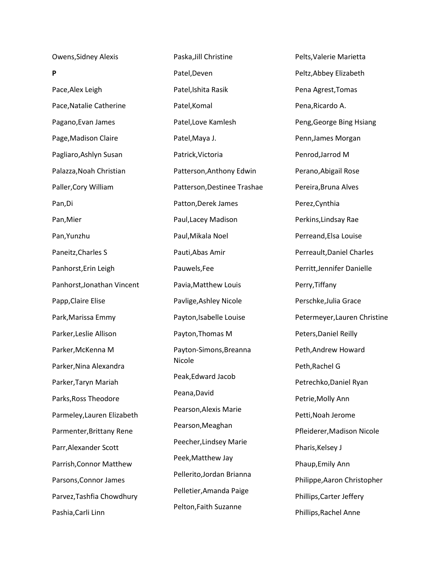Owens,Sidney Alexis

**P** Pace,Alex Leigh Pace,Natalie Catherine Pagano,Evan James Page,Madison Claire Pagliaro,Ashlyn Susan Palazza,Noah Christian Paller,Cory William Pan,Di Pan,Mier Pan,Yunzhu Paneitz,Charles S Panhorst,Erin Leigh Panhorst,Jonathan Vincent Papp,Claire Elise Park,Marissa Emmy Parker,Leslie Allison Parker,McKenna M Parker,Nina Alexandra Parker,Taryn Mariah Parks,Ross Theodore Parmeley,Lauren Elizabeth Parmenter,Brittany Rene Parr,Alexander Scott Parrish,Connor Matthew Parsons,Connor James Parvez,Tashfia Chowdhury Pashia,Carli Linn

Paska,Jill Christine Patel,Deven Patel,Ishita Rasik Patel,Komal Patel,Love Kamlesh Patel,Maya J. Patrick,Victoria Patterson,Anthony Edwin Patterson,Destinee Trashae Patton,Derek James Paul,Lacey Madison Paul,Mikala Noel Pauti,Abas Amir Pauwels,Fee Pavia,Matthew Louis Pavlige,Ashley Nicole Payton,Isabelle Louise Payton,Thomas M Payton-Simons,Breanna Nicole Peak,Edward Jacob Peana,David Pearson,Alexis Marie Pearson,Meaghan Peecher,Lindsey Marie Peek,Matthew Jay Pellerito,Jordan Brianna Pelletier,Amanda Paige Pelton,Faith Suzanne

Pelts,Valerie Marietta Peltz,Abbey Elizabeth Pena Agrest,Tomas Pena,Ricardo A. Peng,George Bing Hsiang Penn,James Morgan Penrod,Jarrod M Perano,Abigail Rose Pereira,Bruna Alves Perez,Cynthia Perkins,Lindsay Rae Perreand,Elsa Louise Perreault,Daniel Charles Perritt,Jennifer Danielle Perry,Tiffany Perschke,Julia Grace Petermeyer,Lauren Christine Peters,Daniel Reilly Peth,Andrew Howard Peth,Rachel G Petrechko,Daniel Ryan Petrie,Molly Ann Petti,Noah Jerome Pfleiderer,Madison Nicole Pharis, Kelsey J Phaup,Emily Ann Philippe,Aaron Christopher Phillips,Carter Jeffery Phillips,Rachel Anne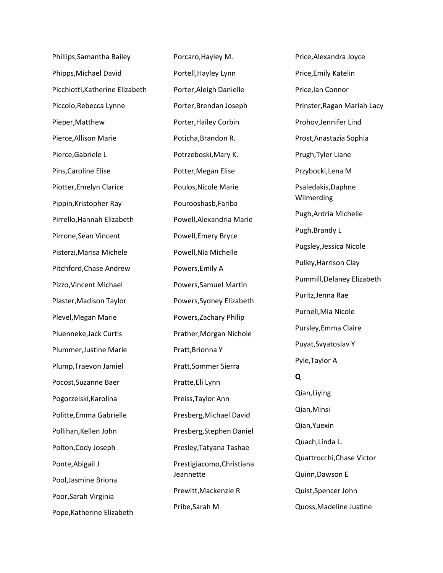Phillips,Samantha Bailey Phipps,Michael David Picchiotti,Katherine Elizabeth Piccolo,Rebecca Lynne Pieper,Matthew Pierce,Allison Marie Pierce,Gabriele L Pins,Caroline Elise Piotter,Emelyn Clarice Pippin,Kristopher Ray Pirrello,Hannah Elizabeth Pirrone,Sean Vincent Pisterzi,Marisa Michele Pitchford,Chase Andrew Pizzo,Vincent Michael Plaster,Madison Taylor Plevel,Megan Marie Pluenneke,Jack Curtis Plummer,Justine Marie Plump,Traevon Jamiel Pocost,Suzanne Baer Pogorzelski,Karolina Politte,Emma Gabrielle Pollihan,Kellen John Polton,Cody Joseph Ponte,Abigail J Pool,Jasmine Briona Poor,Sarah Virginia Pope,Katherine Elizabeth

Porcaro,Hayley M. Portell,Hayley Lynn Porter,Aleigh Danielle Porter,Brendan Joseph Porter,Hailey Corbin Poticha,Brandon R. Potrzeboski,Mary K. Potter,Megan Elise Poulos,Nicole Marie Pourooshasb,Fariba Powell,Alexandria Marie Powell,Emery Bryce Powell,Nia Michelle Powers,Emily A Powers,Samuel Martin Powers,Sydney Elizabeth Powers,Zachary Philip Prather,Morgan Nichole Pratt,Brionna Y Pratt,Sommer Sierra Pratte,Eli Lynn Preiss,Taylor Ann Presberg,Michael David Presberg,Stephen Daniel Presley,Tatyana Tashae Prestigiacomo,Christiana Jeannette Prewitt,Mackenzie R Pribe,Sarah M

Price,Alexandra Joyce Price,Emily Katelin Price,Ian Connor Prinster,Ragan Mariah Lacy Prohov,Jennifer Lind Prost,Anastazia Sophia Prugh,Tyler Liane Przybocki,Lena M Psaledakis,Daphne Wilmerding Pugh,Ardria Michelle Pugh,Brandy L Pugsley,Jessica Nicole Pulley,Harrison Clay Pummill,Delaney Elizabeth Puritz,Jenna Rae Purnell,Mia Nicole Pursley,Emma Claire Puyat,Svyatoslav Y Pyle,Taylor A **Q** Qian,Liying Qian,Minsi Qian,Yuexin Quach,Linda L. Quattrocchi,Chase Victor Quinn,Dawson E Quist,Spencer John Quoss,Madeline Justine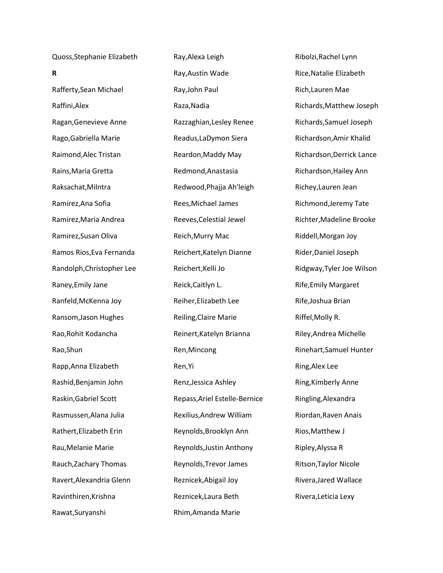Quoss,Stephanie Elizabeth **R** Rafferty,Sean Michael

Raffini,Alex Ragan,Genevieve Anne Rago,Gabriella Marie Raimond,Alec Tristan Rains,Maria Gretta Raksachat,Milntra Ramirez,Ana Sofia Ramirez,Maria Andrea Ramirez,Susan Oliva Ramos Rios,Eva Fernanda Randolph,Christopher Lee Raney,Emily Jane Ranfeld,McKenna Joy Ransom,Jason Hughes Rao,Rohit Kodancha Rao,Shun Rapp,Anna Elizabeth Rashid,Benjamin John Raskin,Gabriel Scott Rasmussen,Alana Julia Rathert,Elizabeth Erin Rau,Melanie Marie Rauch,Zachary Thomas Ravert,Alexandria Glenn

Ravinthiren,Krishna

Rawat,Suryanshi

Ray,Alexa Leigh Ray,Austin Wade Ray,John Paul Raza,Nadia Razzaghian,Lesley Renee Readus,LaDymon Siera Reardon,Maddy May Redmond,Anastasia Redwood,Phajja Ah'leigh Rees,Michael James Reeves,Celestial Jewel Reich,Murry Mac Reichert,Katelyn Dianne Reichert,Kelli Jo Reick,Caitlyn L. Reiher,Elizabeth Lee Reiling,Claire Marie Reinert,Katelyn Brianna Ren,Mincong Ren,Yi Renz,Jessica Ashley Repass,Ariel Estelle-Bernice Rexilius,Andrew William Reynolds,Brooklyn Ann Reynolds,Justin Anthony Reynolds,Trevor James Reznicek,Abigail Joy Reznicek,Laura Beth Rhim,Amanda Marie

Ribolzi,Rachel Lynn Rice,Natalie Elizabeth Rich,Lauren Mae Richards,Matthew Joseph Richards,Samuel Joseph Richardson,Amir Khalid Richardson,Derrick Lance Richardson,Hailey Ann Richey,Lauren Jean Richmond,Jeremy Tate Richter,Madeline Brooke Riddell,Morgan Joy Rider,Daniel Joseph Ridgway,Tyler Joe Wilson Rife,Emily Margaret Rife,Joshua Brian Riffel,Molly R. Riley,Andrea Michelle Rinehart,Samuel Hunter Ring,Alex Lee Ring,Kimberly Anne Ringling,Alexandra Riordan,Raven Anais Rios,Matthew J Ripley,Alyssa R Ritson,Taylor Nicole Rivera,Jared Wallace Rivera,Leticia Lexy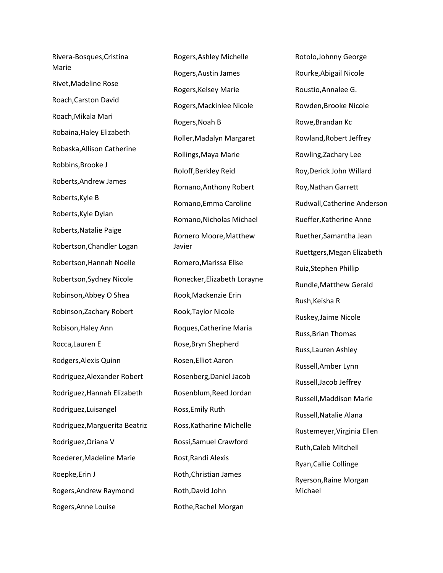Rivera-Bosques,Cristina Marie Rivet,Madeline Rose Roach,Carston David Roach,Mikala Mari Robaina,Haley Elizabeth Robaska,Allison Catherine Robbins,Brooke J Roberts,Andrew James Roberts,Kyle B Roberts,Kyle Dylan Roberts,Natalie Paige Robertson,Chandler Logan Robertson,Hannah Noelle Robertson,Sydney Nicole Robinson,Abbey O Shea Robinson,Zachary Robert Robison,Haley Ann Rocca,Lauren E Rodgers,Alexis Quinn Rodriguez,Alexander Robert Rodriguez,Hannah Elizabeth Rodriguez,Luisangel Rodriguez,Marguerita Beatriz Rodriguez,Oriana V Roederer,Madeline Marie Roepke,Erin J Rogers,Andrew Raymond Rogers,Anne Louise

Rogers,Ashley Michelle Rogers,Austin James Rogers,Kelsey Marie Rogers,Mackinlee Nicole Rogers,Noah B Roller,Madalyn Margaret Rollings,Maya Marie Roloff,Berkley Reid Romano,Anthony Robert Romano,Emma Caroline Romano,Nicholas Michael Romero Moore,Matthew Javier Romero,Marissa Elise Ronecker,Elizabeth Lorayne Rook,Mackenzie Erin Rook,Taylor Nicole Roques,Catherine Maria Rose,Bryn Shepherd Rosen,Elliot Aaron Rosenberg,Daniel Jacob Rosenblum,Reed Jordan Ross,Emily Ruth Ross,Katharine Michelle Rossi,Samuel Crawford Rost,Randi Alexis Roth,Christian James Roth,David John Rothe,Rachel Morgan

Rotolo,Johnny George Rourke,Abigail Nicole Roustio,Annalee G. Rowden,Brooke Nicole Rowe,Brandan Kc Rowland,Robert Jeffrey Rowling,Zachary Lee Roy,Derick John Willard Roy,Nathan Garrett Rudwall,Catherine Anderson Rueffer,Katherine Anne Ruether,Samantha Jean Ruettgers,Megan Elizabeth Ruiz,Stephen Phillip Rundle,Matthew Gerald Rush,Keisha R Ruskey,Jaime Nicole Russ,Brian Thomas Russ,Lauren Ashley Russell,Amber Lynn Russell,Jacob Jeffrey Russell,Maddison Marie Russell,Natalie Alana Rustemeyer,Virginia Ellen Ruth,Caleb Mitchell Ryan,Callie Collinge Ryerson,Raine Morgan Michael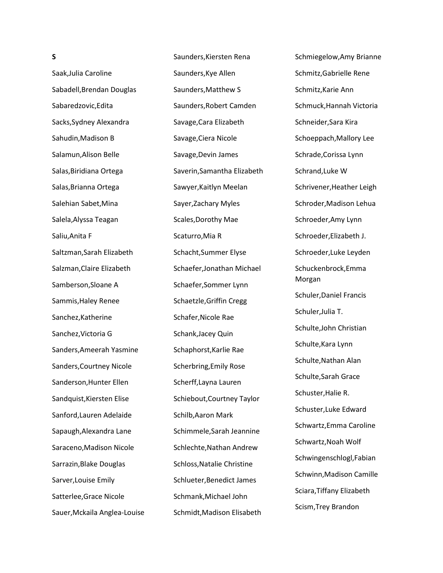Saak,Julia Caroline Sabadell,Brendan Douglas Sabaredzovic,Edita Sacks,Sydney Alexandra Sahudin,Madison B Salamun,Alison Belle Salas,Biridiana Ortega Salas,Brianna Ortega Salehian Sabet,Mina Salela,Alyssa Teagan Saliu,Anita F Saltzman,Sarah Elizabeth Salzman,Claire Elizabeth Samberson,Sloane A Sammis,Haley Renee Sanchez,Katherine Sanchez,Victoria G Sanders,Ameerah Yasmine Sanders,Courtney Nicole Sanderson,Hunter Ellen Sandquist,Kiersten Elise Sanford,Lauren Adelaide Sapaugh,Alexandra Lane Saraceno,Madison Nicole Sarrazin,Blake Douglas Sarver,Louise Emily Satterlee,Grace Nicole Sauer,Mckaila Anglea-Louise

**S**

Saunders,Kiersten Rena Saunders,Kye Allen Saunders,Matthew S Saunders,Robert Camden Savage,Cara Elizabeth Savage,Ciera Nicole Savage,Devin James Saverin,Samantha Elizabeth Sawyer,Kaitlyn Meelan Sayer,Zachary Myles Scales,Dorothy Mae Scaturro,Mia R Schacht,Summer Elyse Schaefer,Jonathan Michael Schaefer,Sommer Lynn Schaetzle,Griffin Cregg Schafer,Nicole Rae Schank,Jacey Quin Schaphorst,Karlie Rae Scherbring,Emily Rose Scherff,Layna Lauren Schiebout,Courtney Taylor Schilb,Aaron Mark Schimmele,Sarah Jeannine Schlechte,Nathan Andrew Schloss,Natalie Christine Schlueter,Benedict James Schmank,Michael John Schmidt,Madison Elisabeth

Schmiegelow,Amy Brianne Schmitz,Gabrielle Rene Schmitz,Karie Ann Schmuck,Hannah Victoria Schneider,Sara Kira Schoeppach,Mallory Lee Schrade,Corissa Lynn Schrand,Luke W Schrivener,Heather Leigh Schroder,Madison Lehua Schroeder,Amy Lynn Schroeder,Elizabeth J. Schroeder,Luke Leyden Schuckenbrock,Emma Morgan Schuler,Daniel Francis Schuler,Julia T. Schulte,John Christian Schulte,Kara Lynn Schulte,Nathan Alan Schulte,Sarah Grace Schuster,Halie R. Schuster,Luke Edward Schwartz,Emma Caroline Schwartz,Noah Wolf Schwingenschlogl,Fabian Schwinn,Madison Camille Sciara,Tiffany Elizabeth Scism,Trey Brandon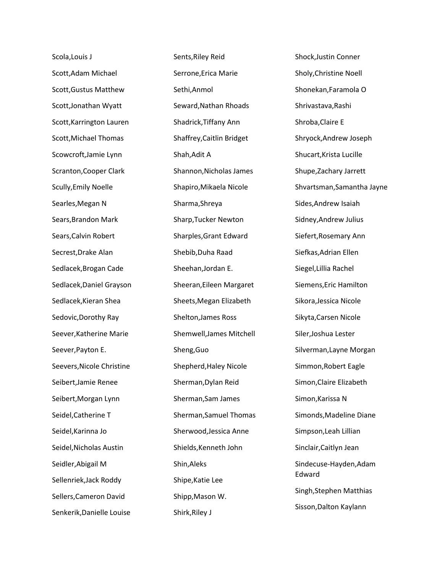Scola,Louis J Scott,Adam Michael Scott,Gustus Matthew Scott,Jonathan Wyatt Scott,Karrington Lauren Scott,Michael Thomas Scowcroft,Jamie Lynn Scranton,Cooper Clark Scully,Emily Noelle Searles,Megan N Sears,Brandon Mark Sears,Calvin Robert Secrest,Drake Alan Sedlacek,Brogan Cade Sedlacek,Daniel Grayson Sedlacek,Kieran Shea Sedovic,Dorothy Ray Seever,Katherine Marie Seever,Payton E. Seevers,Nicole Christine Seibert,Jamie Renee Seibert,Morgan Lynn Seidel,Catherine T Seidel,Karinna Jo Seidel,Nicholas Austin Seidler,Abigail M Sellenriek,Jack Roddy Sellers,Cameron David Senkerik,Danielle Louise

Sents,Riley Reid Serrone,Erica Marie Sethi,Anmol Seward,Nathan Rhoads Shadrick,Tiffany Ann Shaffrey,Caitlin Bridget Shah,Adit A Shannon,Nicholas James Shapiro,Mikaela Nicole Sharma,Shreya Sharp,Tucker Newton Sharples,Grant Edward Shebib,Duha Raad Sheehan,Jordan E. Sheeran,Eileen Margaret Sheets,Megan Elizabeth Shelton,James Ross Shemwell,James Mitchell Sheng,Guo Shepherd,Haley Nicole Sherman,Dylan Reid Sherman,Sam James Sherman,Samuel Thomas Sherwood,Jessica Anne Shields,Kenneth John Shin,Aleks Shipe,Katie Lee Shipp,Mason W. Shirk,Riley J

Shock,Justin Conner Sholy,Christine Noell Shonekan,Faramola O Shrivastava,Rashi Shroba,Claire E Shryock,Andrew Joseph Shucart,Krista Lucille Shupe,Zachary Jarrett Shvartsman,Samantha Jayne Sides,Andrew Isaiah Sidney,Andrew Julius Siefert,Rosemary Ann Siefkas,Adrian Ellen Siegel,Lillia Rachel Siemens,Eric Hamilton Sikora,Jessica Nicole Sikyta,Carsen Nicole Siler,Joshua Lester Silverman,Layne Morgan Simmon,Robert Eagle Simon,Claire Elizabeth Simon,Karissa N Simonds,Madeline Diane Simpson,Leah Lillian Sinclair,Caitlyn Jean Sindecuse-Hayden,Adam Edward Singh,Stephen Matthias Sisson,Dalton Kaylann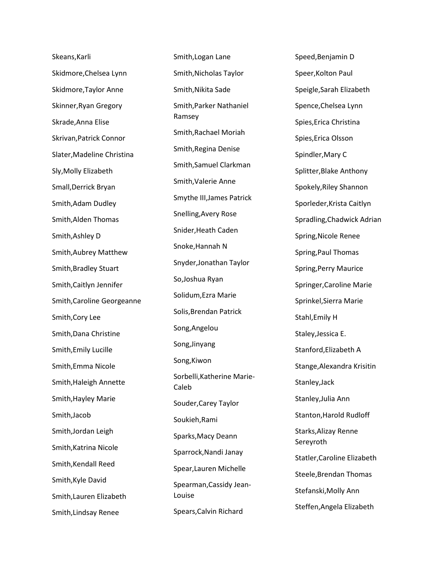Skeans,Karli Skidmore,Chelsea Lynn Skidmore,Taylor Anne Skinner,Ryan Gregory Skrade,Anna Elise Skrivan,Patrick Connor Slater,Madeline Christina Sly,Molly Elizabeth Small,Derrick Bryan Smith,Adam Dudley Smith,Alden Thomas Smith,Ashley D Smith,Aubrey Matthew Smith,Bradley Stuart Smith,Caitlyn Jennifer Smith,Caroline Georgeanne Smith,Cory Lee Smith,Dana Christine Smith,Emily Lucille Smith,Emma Nicole Smith,Haleigh Annette Smith,Hayley Marie Smith,Jacob Smith,Jordan Leigh Smith,Katrina Nicole Smith,Kendall Reed Smith,Kyle David Smith,Lauren Elizabeth Smith,Lindsay Renee

Smith,Logan Lane Smith,Nicholas Taylor Smith,Nikita Sade Smith,Parker Nathaniel Ramsey Smith,Rachael Moriah Smith,Regina Denise Smith,Samuel Clarkman Smith,Valerie Anne Smythe III,James Patrick Snelling,Avery Rose Snider,Heath Caden Snoke,Hannah N Snyder,Jonathan Taylor So,Joshua Ryan Solidum,Ezra Marie Solis,Brendan Patrick Song,Angelou Song,Jinyang Song,Kiwon Sorbelli,Katherine Marie-Caleb Souder,Carey Taylor Soukieh,Rami Sparks,Macy Deann Sparrock,Nandi Janay Spear,Lauren Michelle Spearman,Cassidy Jean-Louise Spears,Calvin Richard

Speed,Benjamin D Speer,Kolton Paul Speigle,Sarah Elizabeth Spence,Chelsea Lynn Spies,Erica Christina Spies,Erica Olsson Spindler,Mary C Splitter,Blake Anthony Spokely,Riley Shannon Sporleder,Krista Caitlyn Spradling,Chadwick Adrian Spring,Nicole Renee Spring,Paul Thomas Spring,Perry Maurice Springer,Caroline Marie Sprinkel,Sierra Marie Stahl,Emily H Staley,Jessica E. Stanford,Elizabeth A Stange,Alexandra Krisitin Stanley,Jack Stanley,Julia Ann Stanton,Harold Rudloff Starks,Alizay Renne Sereyroth Statler,Caroline Elizabeth Steele,Brendan Thomas Stefanski,Molly Ann Steffen,Angela Elizabeth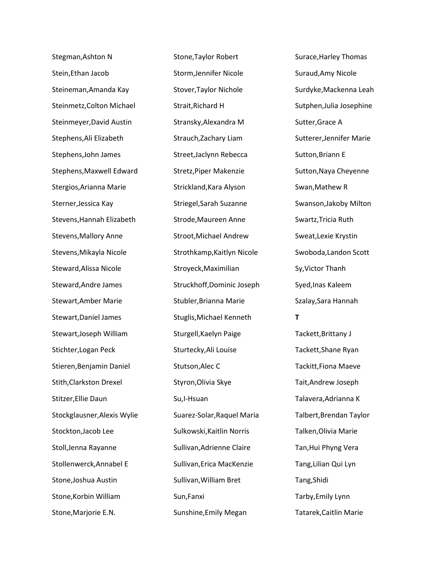Stegman,Ashton N Stein,Ethan Jacob Steineman,Amanda Kay Steinmetz,Colton Michael Steinmeyer,David Austin Stephens,Ali Elizabeth Stephens,John James Stephens,Maxwell Edward Stergios,Arianna Marie Sterner,Jessica Kay Stevens,Hannah Elizabeth Stevens,Mallory Anne Stevens,Mikayla Nicole Steward,Alissa Nicole Steward,Andre James Stewart,Amber Marie Stewart,Daniel James Stewart,Joseph William Stichter,Logan Peck Stieren,Benjamin Daniel Stith,Clarkston Drexel Stitzer,Ellie Daun Stockglausner,Alexis Wylie Stockton,Jacob Lee Stoll,Jenna Rayanne Stollenwerck,Annabel E Stone,Joshua Austin Stone,Korbin William Stone,Marjorie E.N.

Stone,Taylor Robert Storm,Jennifer Nicole Stover,Taylor Nichole Strait,Richard H Stransky,Alexandra M Strauch,Zachary Liam Street,Jaclynn Rebecca Stretz,Piper Makenzie Strickland,Kara Alyson Striegel,Sarah Suzanne Strode,Maureen Anne Stroot,Michael Andrew Strothkamp,Kaitlyn Nicole Stroyeck,Maximilian Struckhoff,Dominic Joseph Stubler,Brianna Marie Stuglis,Michael Kenneth Sturgell,Kaelyn Paige Sturtecky,Ali Louise Stutson,Alec C Styron,Olivia Skye Su,I-Hsuan Suarez-Solar,Raquel Maria Sulkowski,Kaitlin Norris Sullivan,Adrienne Claire Sullivan,Erica MacKenzie Sullivan,William Bret Sun,Fanxi Sunshine,Emily Megan

Surace,Harley Thomas Suraud,Amy Nicole Surdyke,Mackenna Leah Sutphen,Julia Josephine Sutter,Grace A Sutterer,Jennifer Marie Sutton,Briann E Sutton,Naya Cheyenne Swan,Mathew R Swanson,Jakoby Milton Swartz,Tricia Ruth Sweat,Lexie Krystin Swoboda,Landon Scott Sy,Victor Thanh Syed,Inas Kaleem Szalay,Sara Hannah **T** Tackett,Brittany J Tackett,Shane Ryan Tackitt,Fiona Maeve Tait,Andrew Joseph Talavera,Adrianna K Talbert,Brendan Taylor Talken,Olivia Marie Tan,Hui Phyng Vera Tang,Lilian Qui Lyn Tang,Shidi Tarby,Emily Lynn Tatarek,Caitlin Marie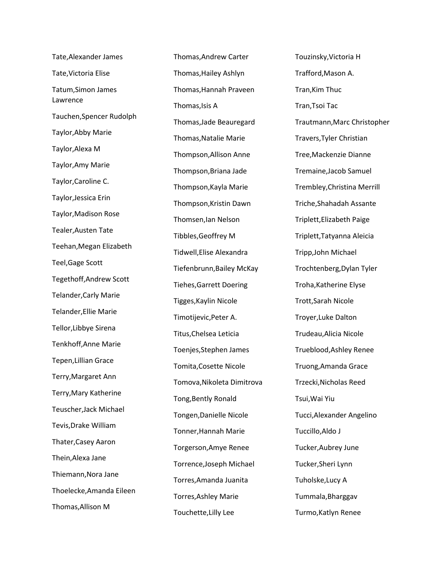Tate,Alexander James Tate,Victoria Elise Tatum,Simon James Lawrence Tauchen,Spencer Rudolph Taylor,Abby Marie Taylor,Alexa M Taylor,Amy Marie Taylor,Caroline C. Taylor,Jessica Erin Taylor,Madison Rose Tealer,Austen Tate Teehan,Megan Elizabeth Teel,Gage Scott Tegethoff,Andrew Scott Telander,Carly Marie Telander,Ellie Marie Tellor,Libbye Sirena Tenkhoff,Anne Marie Tepen,Lillian Grace Terry,Margaret Ann Terry,Mary Katherine Teuscher,Jack Michael Tevis,Drake William Thater,Casey Aaron Thein,Alexa Jane Thiemann,Nora Jane Thoelecke,Amanda Eileen Thomas,Allison M

Thomas,Andrew Carter Thomas,Hailey Ashlyn Thomas,Hannah Praveen Thomas,Isis A Thomas,Jade Beauregard Thomas,Natalie Marie Thompson,Allison Anne Thompson,Briana Jade Thompson,Kayla Marie Thompson,Kristin Dawn Thomsen,Ian Nelson Tibbles,Geoffrey M Tidwell,Elise Alexandra Tiefenbrunn,Bailey McKay Tiehes,Garrett Doering Tigges,Kaylin Nicole Timotijevic,Peter A. Titus,Chelsea Leticia Toenjes,Stephen James Tomita,Cosette Nicole Tomova,Nikoleta Dimitrova Tong,Bently Ronald Tongen,Danielle Nicole Tonner,Hannah Marie Torgerson,Amye Renee Torrence,Joseph Michael Torres,Amanda Juanita Torres,Ashley Marie Touchette,Lilly Lee

Touzinsky,Victoria H Trafford,Mason A. Tran,Kim Thuc Tran,Tsoi Tac Trautmann,Marc Christopher Travers,Tyler Christian Tree,Mackenzie Dianne Tremaine,Jacob Samuel Trembley,Christina Merrill Triche,Shahadah Assante Triplett,Elizabeth Paige Triplett,Tatyanna Aleicia Tripp,John Michael Trochtenberg,Dylan Tyler Troha,Katherine Elyse Trott,Sarah Nicole Troyer,Luke Dalton Trudeau,Alicia Nicole Trueblood,Ashley Renee Truong,Amanda Grace Trzecki,Nicholas Reed Tsui,Wai Yiu Tucci,Alexander Angelino Tuccillo,Aldo J Tucker,Aubrey June Tucker,Sheri Lynn Tuholske,Lucy A Tummala,Bharggav Turmo,Katlyn Renee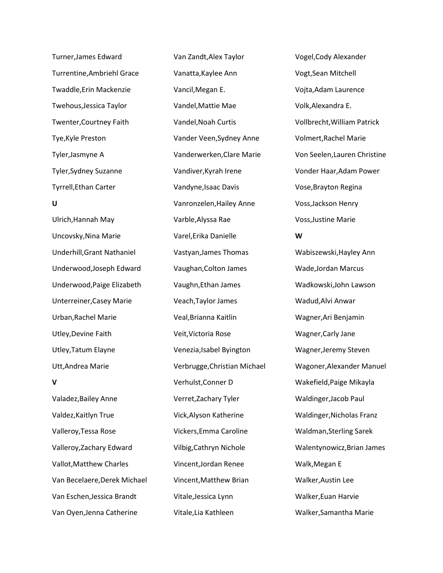Turner,James Edward Turrentine,Ambriehl Grace Twaddle,Erin Mackenzie Twehous,Jessica Taylor Twenter,Courtney Faith Tye,Kyle Preston Tyler,Jasmyne A Tyler,Sydney Suzanne Tyrrell,Ethan Carter **U** Ulrich,Hannah May Uncovsky,Nina Marie Underhill,Grant Nathaniel Underwood,Joseph Edward Underwood,Paige Elizabeth

Unterreiner,Casey Marie Urban,Rachel Marie Utley,Devine Faith Utley,Tatum Elayne Utt,Andrea Marie

## **V**

Valadez,Bailey Anne Valdez,Kaitlyn True Valleroy,Tessa Rose Valleroy,Zachary Edward Vallot,Matthew Charles Van Becelaere,Derek Michael Van Eschen,Jessica Brandt Van Oyen,Jenna Catherine

Van Zandt,Alex Taylor Vanatta,Kaylee Ann Vancil,Megan E. Vandel,Mattie Mae Vandel,Noah Curtis Vander Veen,Sydney Anne Vanderwerken,Clare Marie Vandiver,Kyrah Irene Vandyne,Isaac Davis Vanronzelen,Hailey Anne Varble,Alyssa Rae Varel,Erika Danielle Vastyan,James Thomas Vaughan,Colton James Vaughn,Ethan James Veach,Taylor James Veal,Brianna Kaitlin Veit,Victoria Rose Venezia,Isabel Byington Verbrugge,Christian Michael Verhulst,Conner D Verret,Zachary Tyler Vick,Alyson Katherine Vickers,Emma Caroline Vilbig,Cathryn Nichole Vincent,Jordan Renee Vincent,Matthew Brian Vitale,Jessica Lynn Vitale,Lia Kathleen

Vogel,Cody Alexander Vogt,Sean Mitchell Vojta,Adam Laurence Volk,Alexandra E. Vollbrecht,William Patrick Volmert,Rachel Marie Von Seelen,Lauren Christine Vonder Haar,Adam Power Vose,Brayton Regina Voss,Jackson Henry Voss,Justine Marie **W** Wabiszewski,Hayley Ann Wade,Jordan Marcus Wadkowski,John Lawson Wadud,Alvi Anwar Wagner,Ari Benjamin Wagner,Carly Jane Wagner,Jeremy Steven Wagoner,Alexander Manuel Wakefield,Paige Mikayla Waldinger,Jacob Paul Waldinger,Nicholas Franz Waldman,Sterling Sarek Walentynowicz,Brian James Walk,Megan E Walker,Austin Lee Walker,Euan Harvie Walker,Samantha Marie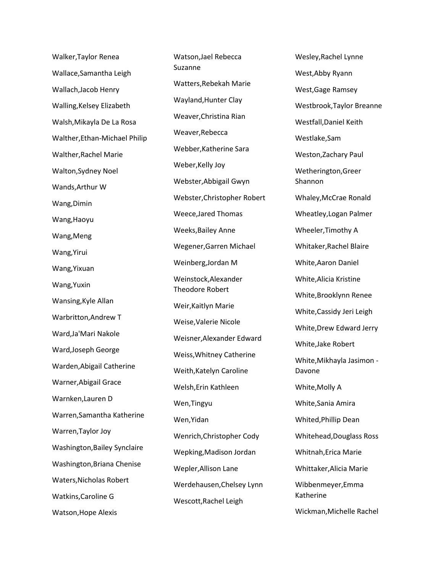Walker,Taylor Renea Wallace,Samantha Leigh Wallach,Jacob Henry Walling,Kelsey Elizabeth Walsh,Mikayla De La Rosa Walther,Ethan-Michael Philip Walther,Rachel Marie Walton,Sydney Noel Wands,Arthur W Wang,Dimin Wang,Haoyu Wang,Meng Wang,Yirui Wang,Yixuan Wang,Yuxin Wansing,Kyle Allan Warbritton,Andrew T Ward,Ja'Mari Nakole Ward,Joseph George Warden,Abigail Catherine Warner,Abigail Grace Warnken,Lauren D Warren,Samantha Katherine Warren,Taylor Joy Washington,Bailey Synclaire Washington,Briana Chenise Waters,Nicholas Robert Watkins,Caroline G Watson,Hope Alexis

Watson,Jael Rebecca Suzanne Watters,Rebekah Marie Wayland,Hunter Clay Weaver,Christina Rian Weaver,Rebecca Webber,Katherine Sara Weber,Kelly Joy Webster,Abbigail Gwyn Webster,Christopher Robert Weece,Jared Thomas Weeks,Bailey Anne Wegener,Garren Michael Weinberg,Jordan M Weinstock,Alexander Theodore Robert Weir,Kaitlyn Marie Weise,Valerie Nicole Weisner,Alexander Edward Weiss,Whitney Catherine Weith,Katelyn Caroline Welsh,Erin Kathleen Wen,Tingyu Wen,Yidan Wenrich,Christopher Cody Wepking,Madison Jordan Wepler,Allison Lane Werdehausen,Chelsey Lynn Wescott,Rachel Leigh

Wesley,Rachel Lynne West,Abby Ryann West,Gage Ramsey Westbrook,Taylor Breanne Westfall,Daniel Keith Westlake,Sam Weston,Zachary Paul Wetherington,Greer Shannon Whaley,McCrae Ronald Wheatley,Logan Palmer Wheeler,Timothy A Whitaker,Rachel Blaire White,Aaron Daniel White,Alicia Kristine White,Brooklynn Renee White,Cassidy Jeri Leigh White,Drew Edward Jerry White,Jake Robert White,Mikhayla Jasimon - Davone White,Molly A White,Sania Amira Whited,Phillip Dean Whitehead,Douglass Ross Whitnah,Erica Marie Whittaker,Alicia Marie Wibbenmeyer,Emma Katherine Wickman,Michelle Rachel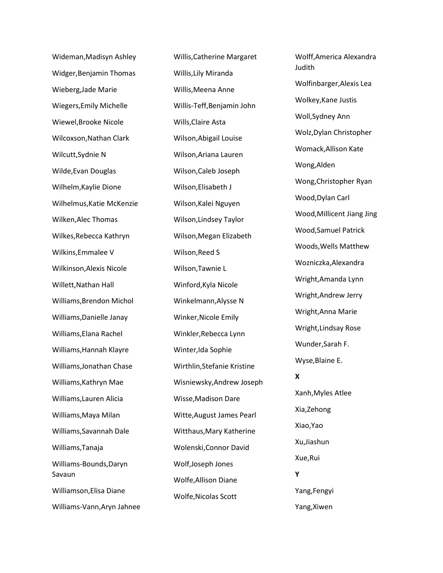Wideman,Madisyn Ashley Widger,Benjamin Thomas Wieberg,Jade Marie Wiegers,Emily Michelle Wiewel,Brooke Nicole Wilcoxson,Nathan Clark Wilcutt,Sydnie N Wilde,Evan Douglas Wilhelm,Kaylie Dione Wilhelmus,Katie McKenzie Wilken,Alec Thomas Wilkes,Rebecca Kathryn Wilkins,Emmalee V Wilkinson,Alexis Nicole Willett,Nathan Hall Williams,Brendon Michol Williams,Danielle Janay Williams,Elana Rachel Williams,Hannah Klayre Williams,Jonathan Chase Williams,Kathryn Mae Williams,Lauren Alicia Williams,Maya Milan Williams,Savannah Dale Williams,Tanaja Williams-Bounds,Daryn Savaun Williamson,Elisa Diane Williams-Vann,Aryn Jahnee Willis,Catherine Margaret Willis,Lily Miranda Willis,Meena Anne Willis-Teff,Benjamin John Wills,Claire Asta Wilson,Abigail Louise Wilson,Ariana Lauren Wilson,Caleb Joseph Wilson,Elisabeth J Wilson,Kalei Nguyen Wilson,Lindsey Taylor Wilson,Megan Elizabeth Wilson,Reed S Wilson,Tawnie L Winford,Kyla Nicole Winkelmann,Alysse N Winker,Nicole Emily Winkler,Rebecca Lynn Winter,Ida Sophie Wirthlin,Stefanie Kristine Wisniewsky,Andrew Joseph Wisse,Madison Dare Witte,August James Pearl Witthaus,Mary Katherine Wolenski,Connor David Wolf,Joseph Jones Wolfe,Allison Diane Wolfe,Nicolas Scott

Wolff,America Alexandra Judith Wolfinbarger,Alexis Lea Wolkey,Kane Justis Woll,Sydney Ann Wolz,Dylan Christopher Womack,Allison Kate Wong,Alden Wong,Christopher Ryan Wood,Dylan Carl Wood,Millicent Jiang Jing Wood,Samuel Patrick Woods,Wells Matthew Wozniczka,Alexandra Wright,Amanda Lynn Wright,Andrew Jerry Wright,Anna Marie Wright,Lindsay Rose Wunder,Sarah F. Wyse,Blaine E. **X** Xanh,Myles Atlee Xia,Zehong Xiao,Yao Xu,Jiashun Xue,Rui **Y** Yang,Fengyi

Yang,Xiwen